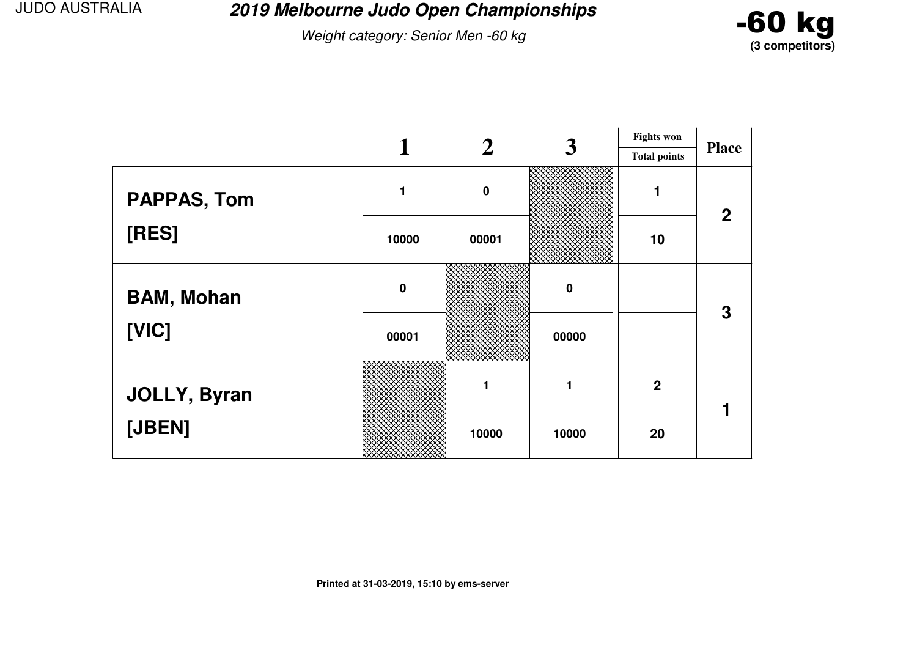**2019 Melbourne Judo Open Championships**

Weight category: Senior Men -60 kg



|                     |             |          | 3     | <b>Fights won</b>   |              |
|---------------------|-------------|----------|-------|---------------------|--------------|
|                     |             |          |       | <b>Total points</b> | <b>Place</b> |
| <b>PAPPAS, Tom</b>  |             | $\bf{0}$ |       |                     | $\mathbf 2$  |
| [RES]               | 10000       | 00001    |       | 10                  |              |
| <b>BAM, Mohan</b>   | $\mathbf 0$ |          | 0     |                     | 3            |
| [VIC]               | 00001       |          | 00000 |                     |              |
| <b>JOLLY, Byran</b> |             |          |       | $\overline{2}$      |              |
| [JBEN]              |             | 10000    | 10000 | 20                  |              |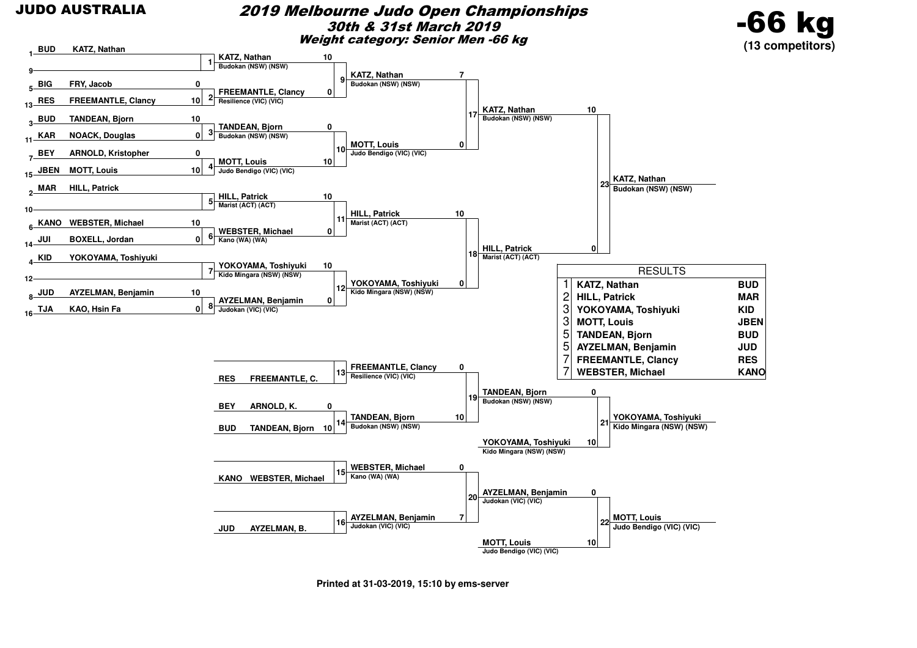#### 2019 Melbourne Judo Open Championships30th & 31st March 2019Weight category: Senior Men -66 kg



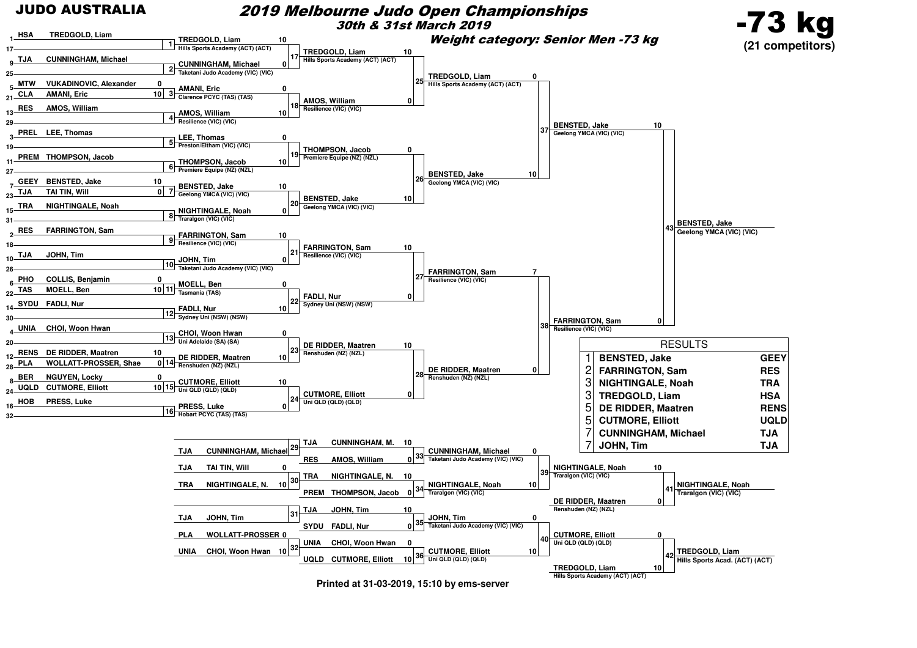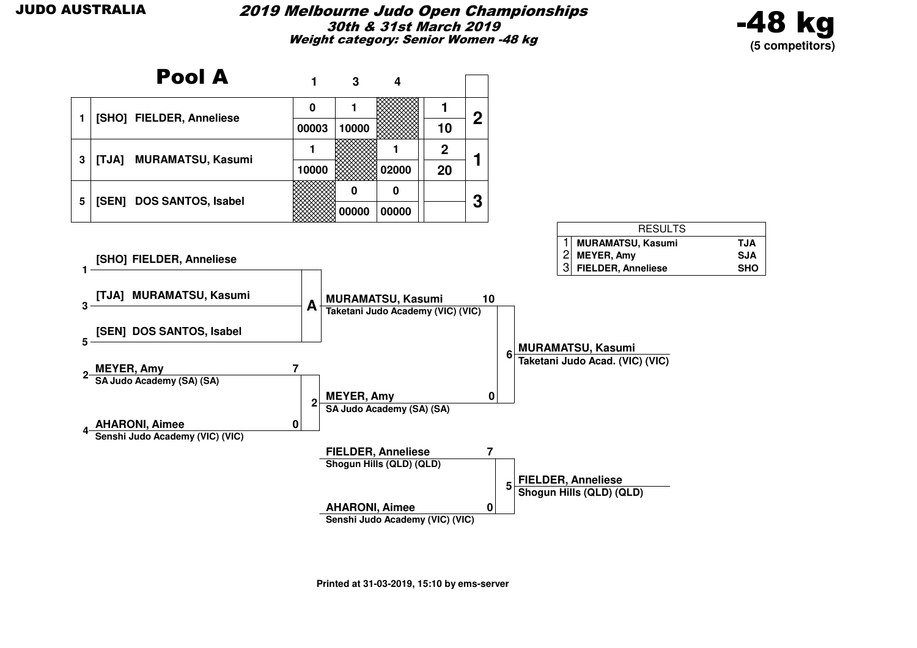#### 2019 Melbourne Judo Open Championships30th & 31st March 2019Weight category: Senior Women -48 kg



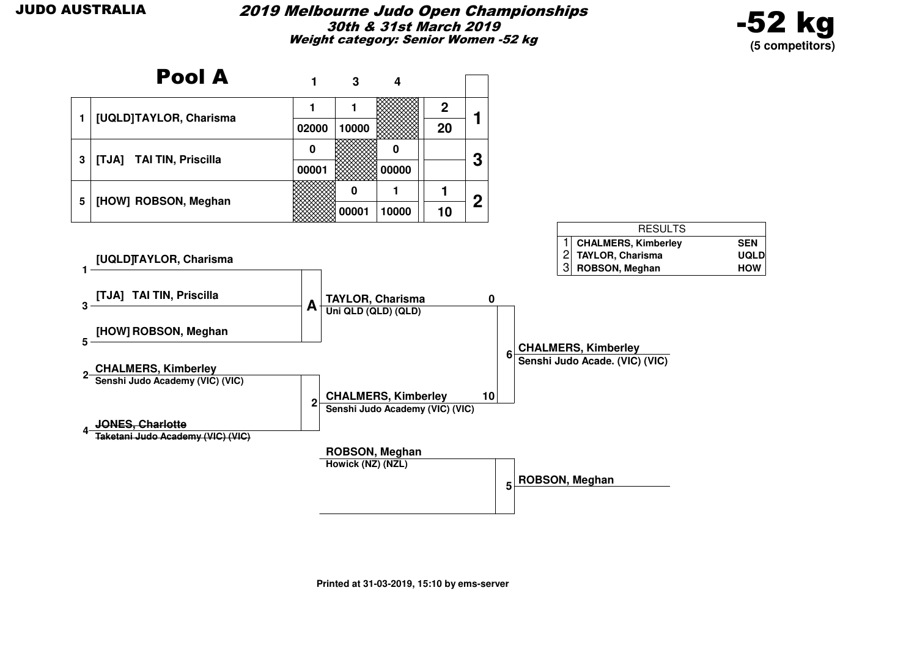#### 2019 Melbourne Judo Open Championships30th & 31st March 2019Weight category: Senior Women -52 kg



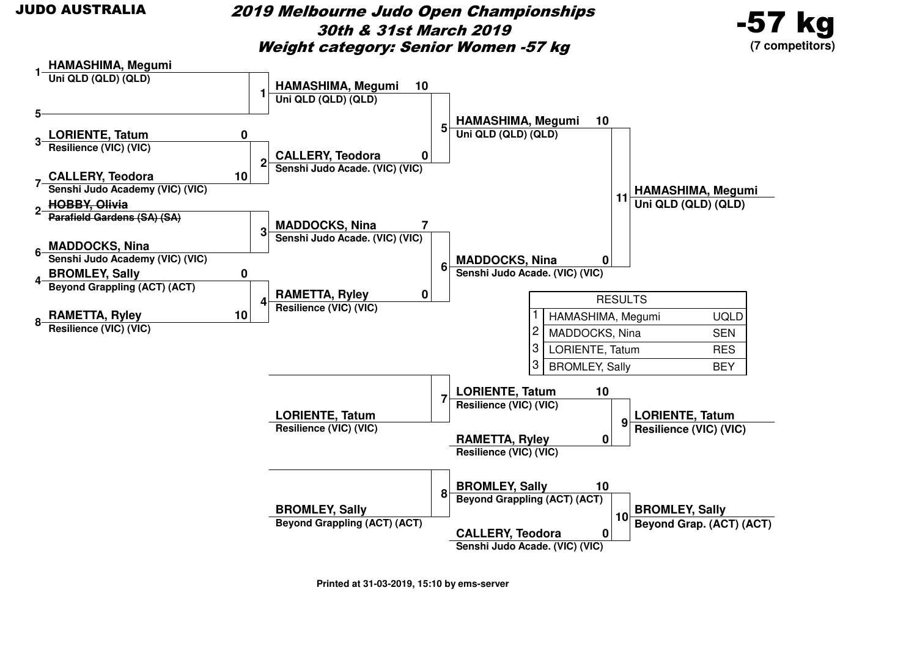2019 Melbourne Judo Open Championships30th & 31st March 2019Weight category: Senior Women -57 kg



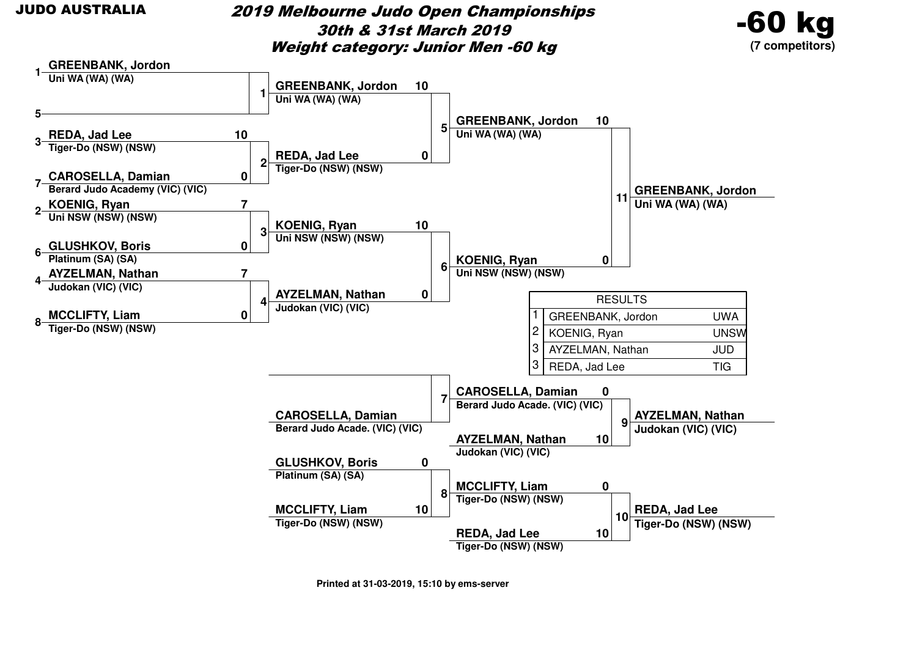#### 2019 Melbourne Judo Open Championships30th & 31st March 2019Weight category: Junior Men -60 kg



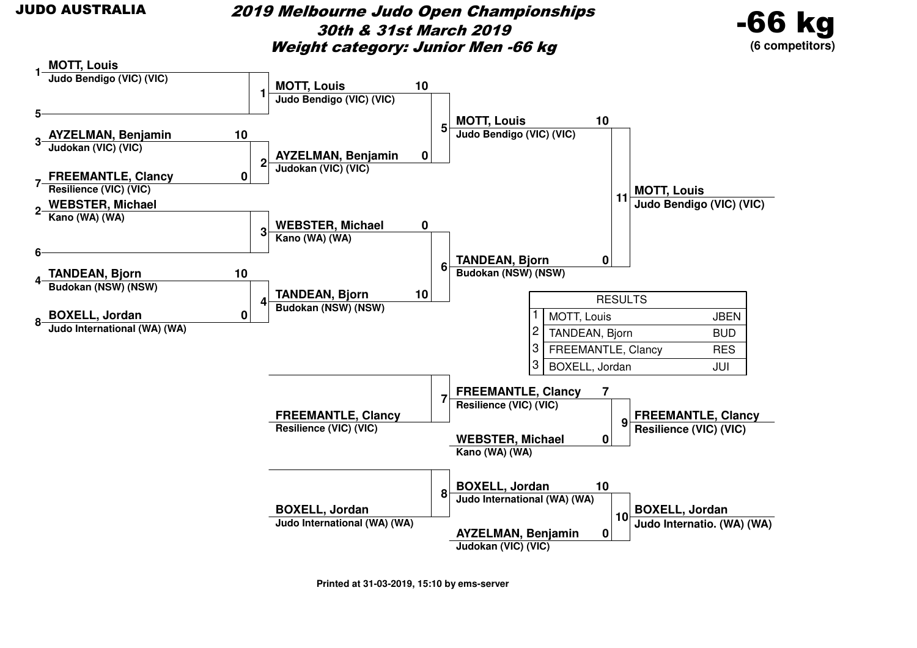#### 2019 Melbourne Judo Open Championships30th & 31st March 2019Weight category: Junior Men -66 kg



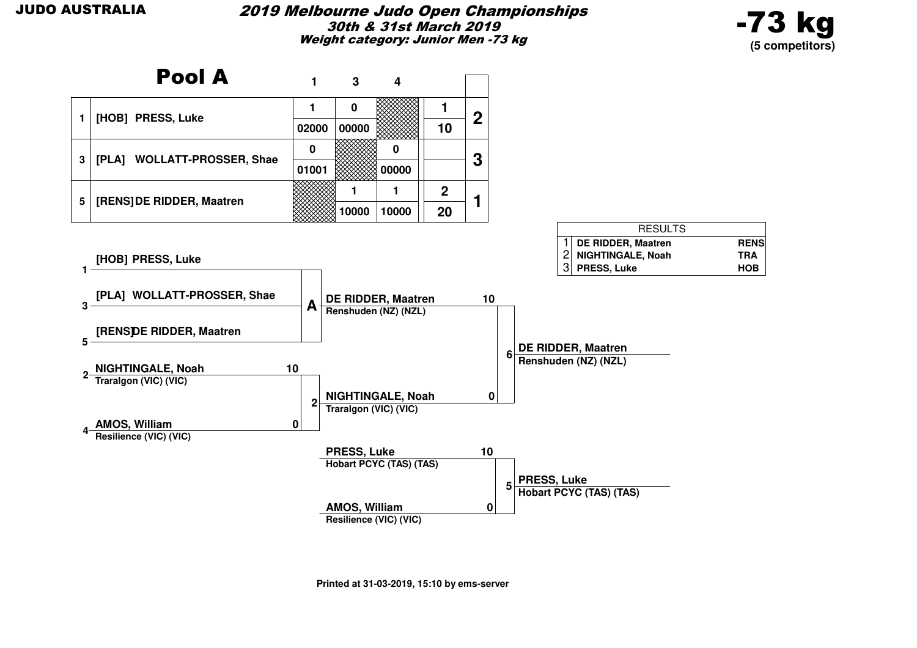

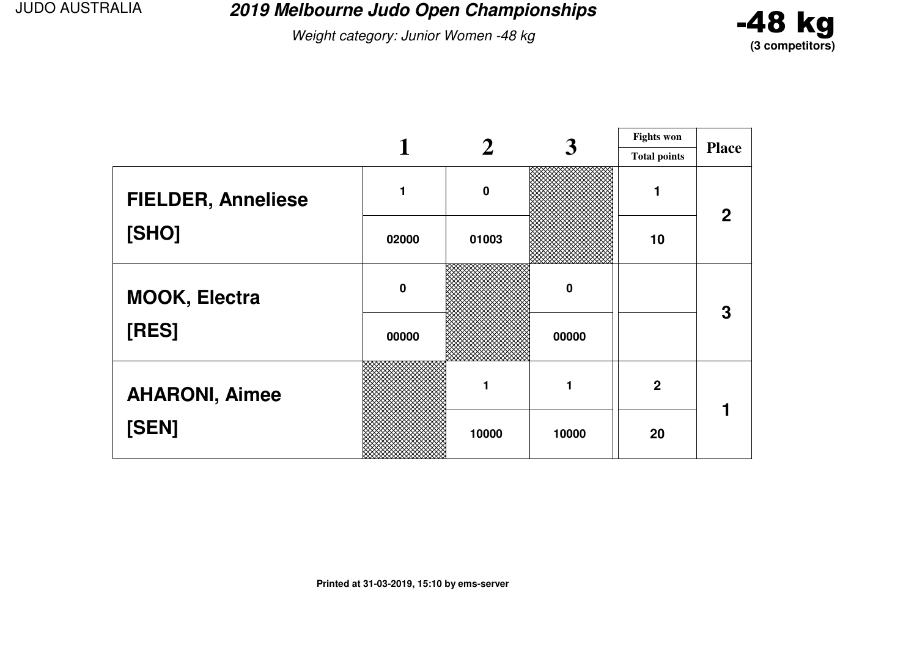**2019 Melbourne Judo Open Championships**

Weight category: Junior Women -48 kg



|                           |             |          | 3     | <b>Fights won</b>   |              |
|---------------------------|-------------|----------|-------|---------------------|--------------|
|                           |             |          |       | <b>Total points</b> | <b>Place</b> |
| <b>FIELDER, Anneliese</b> | 1           | $\bf{0}$ |       |                     | $\mathbf{2}$ |
| [SHO]                     | 02000       | 01003    |       | 10                  |              |
| <b>MOOK, Electra</b>      | $\mathbf 0$ |          | 0     |                     | 3            |
| [RES]                     | 00000       |          | 00000 |                     |              |
| <b>AHARONI, Aimee</b>     |             |          |       | $\overline{2}$      |              |
| [SEN]                     |             | 10000    | 10000 | 20                  |              |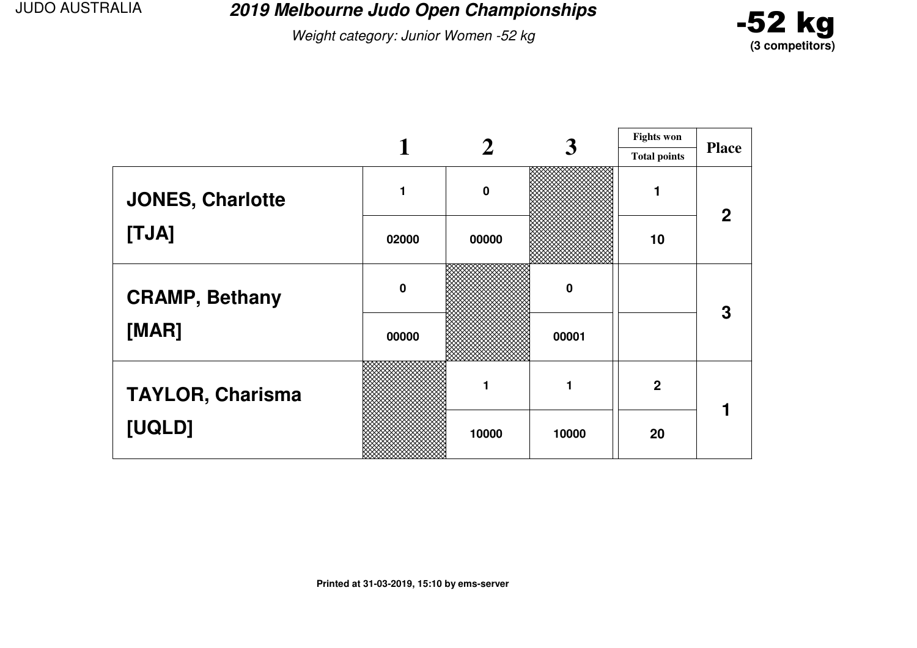**2019 Melbourne Judo Open Championships**

Weight category: Junior Women -52 kg



|                         |             |             | 3        | <b>Fights won</b>   |                |
|-------------------------|-------------|-------------|----------|---------------------|----------------|
|                         |             |             |          | <b>Total points</b> | <b>Place</b>   |
| <b>JONES, Charlotte</b> | 1           | $\mathbf 0$ |          |                     | $\overline{2}$ |
| [TJA]                   | 02000       | 00000       |          | 10                  |                |
| <b>CRAMP, Bethany</b>   | $\mathbf 0$ |             | $\bf{0}$ |                     | 3              |
| [MAR]                   | 00000       |             | 00001    |                     |                |
| <b>TAYLOR, Charisma</b> |             |             | 1        | $\mathbf 2$         |                |
| [UQLD]                  |             | 10000       | 10000    | 20                  |                |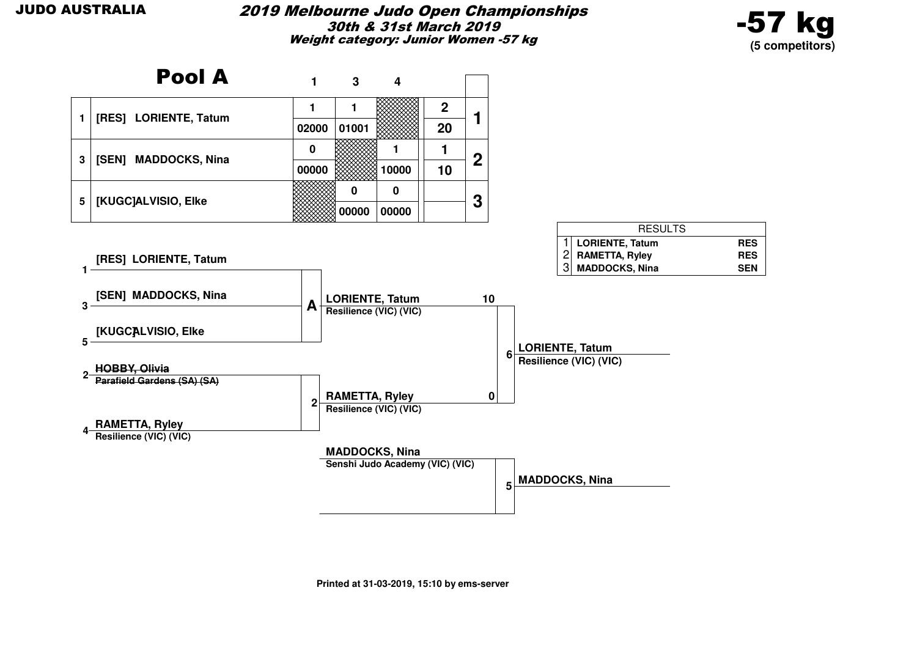

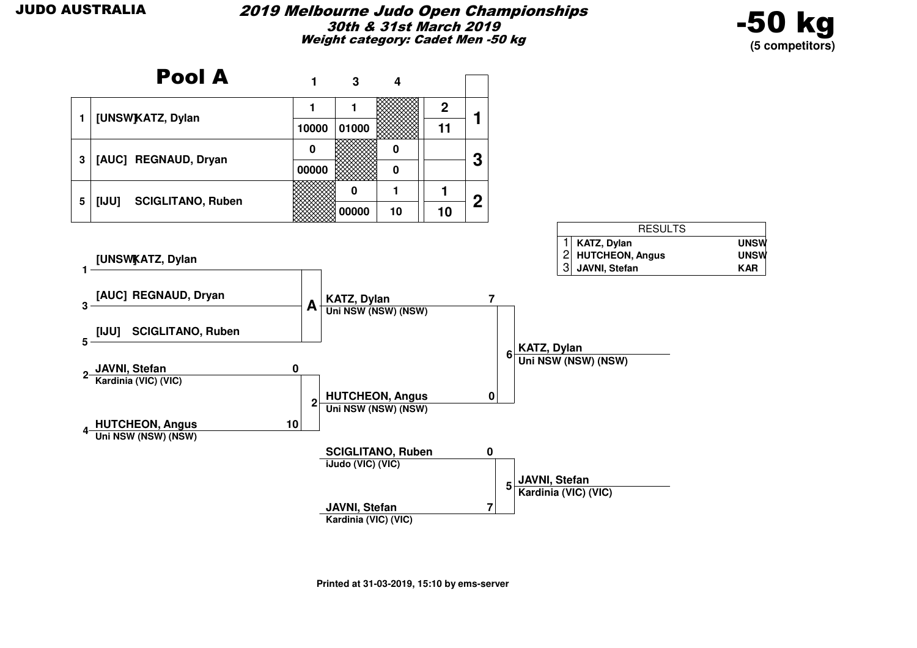

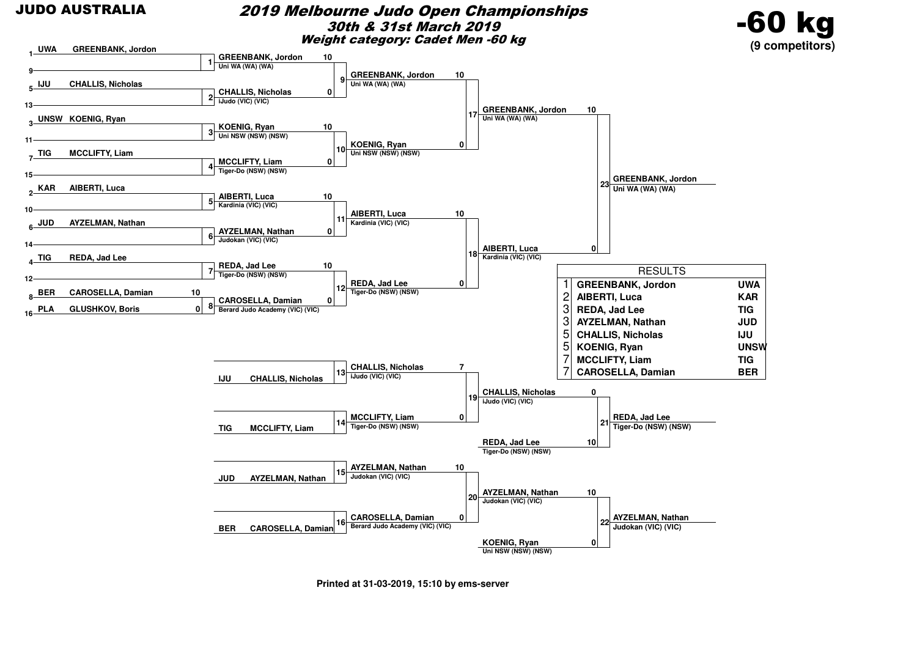#### 2019 Melbourne Judo Open Championships30th & 31st March 2019Weight category: Cadet Men -60 kg



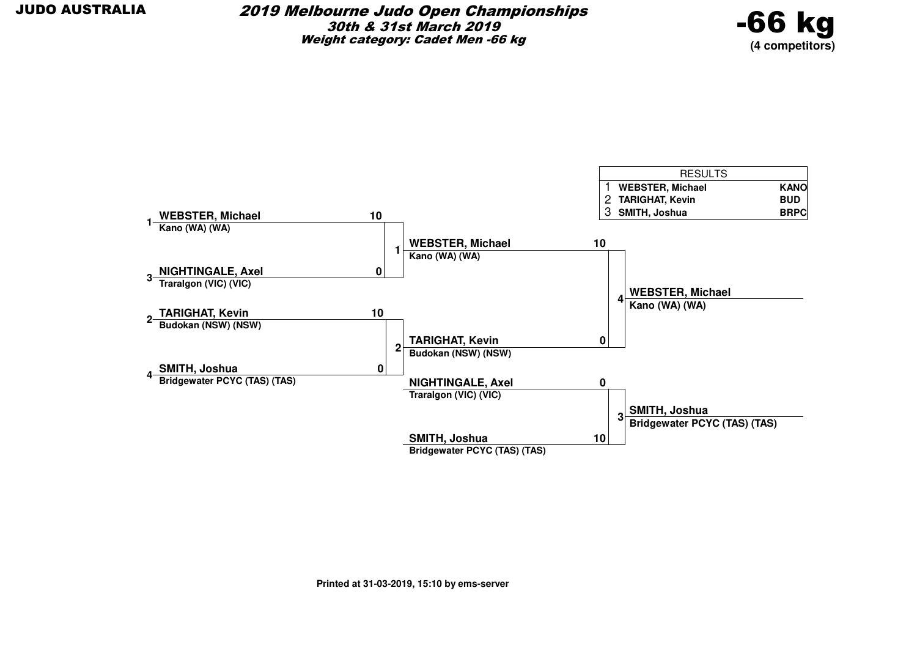

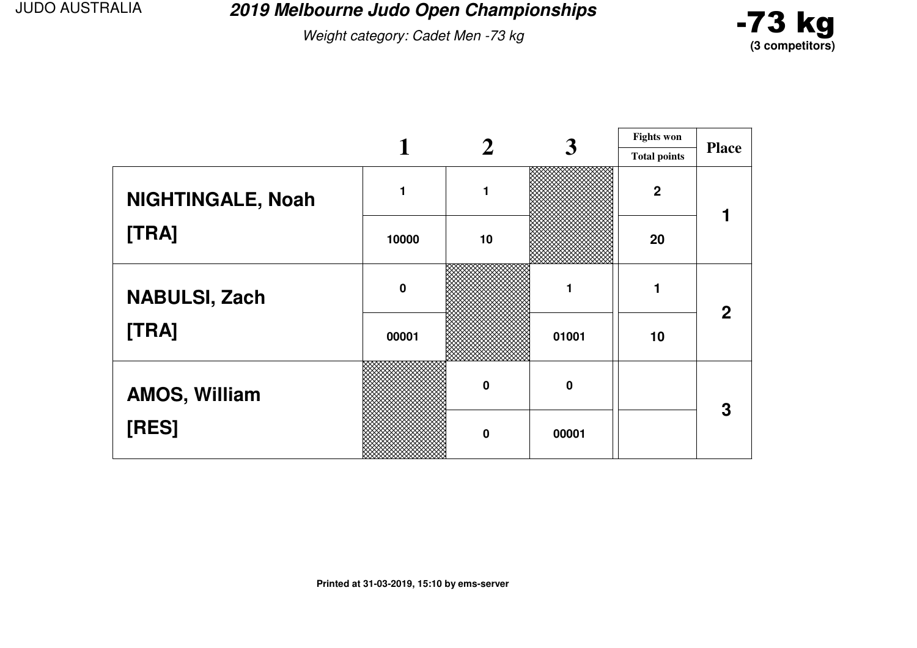**2019 Melbourne Judo Open Championships**

Weight category: Cadet Men -73 kg



|                      |             |             | 3           | <b>Fights won</b>   |              |
|----------------------|-------------|-------------|-------------|---------------------|--------------|
|                      |             |             |             | <b>Total points</b> | <b>Place</b> |
| NIGHTINGALE, Noah    |             | 1           |             | $\overline{2}$      |              |
| [TRA]                | 10000       | 10          |             | 20                  |              |
| <b>NABULSI, Zach</b> | $\mathbf 0$ |             |             |                     | $\mathbf{2}$ |
| [TRA]                | 00001       |             | 01001       | 10                  |              |
| <b>AMOS, William</b> |             | $\mathbf 0$ | $\mathbf 0$ |                     | 3            |
| [RES]                |             | $\mathbf 0$ | 00001       |                     |              |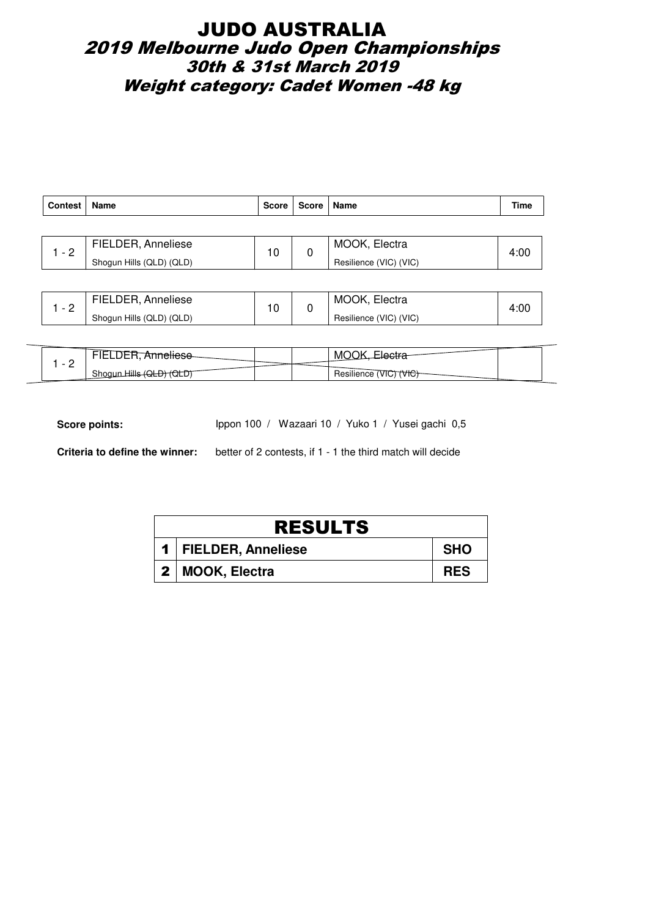## JUDO AUSTRALIA 2019 Melbourne Judo Open Championships 30th & 31st March 2019 Weight category: Cadet Women -48 kg

| <b>Contest</b> | Name                     | <b>Score</b> | Score   Name  |                        | Time |
|----------------|--------------------------|--------------|---------------|------------------------|------|
|                |                          |              |               |                        |      |
| $-2$           | FIELDER, Anneliese       | 10           | MOOK, Electra | 4:00                   |      |
|                | Shogun Hills (QLD) (QLD) |              | 0             | Resilience (VIC) (VIC) |      |
|                |                          |              |               |                        |      |

| FIELDER, Anneliese       | 10 | MOOK,<br>Electra       | 4:00 |
|--------------------------|----|------------------------|------|
| Shogun Hills (QLD) (QLD) |    | Resilience (VIC) (VIC) |      |

| - |                     |  | M<br>יי                                                       |  |
|---|---------------------|--|---------------------------------------------------------------|--|
| - | Shoau<br>---<br>ש∟ט |  | $\cdots$<br>$\overline{u}$<br>Resilience<br>VIC.<br>MС<br>. - |  |

Score points: Ippon 100 / Wazaari 10 / Yuko 1 / Yusei gachi 0,5

| <b>RESULTS</b> |                        |            |  |  |  |
|----------------|------------------------|------------|--|--|--|
|                | 1   FIELDER, Anneliese | <b>SHO</b> |  |  |  |
|                | 2   MOOK, Electra      | <b>RES</b> |  |  |  |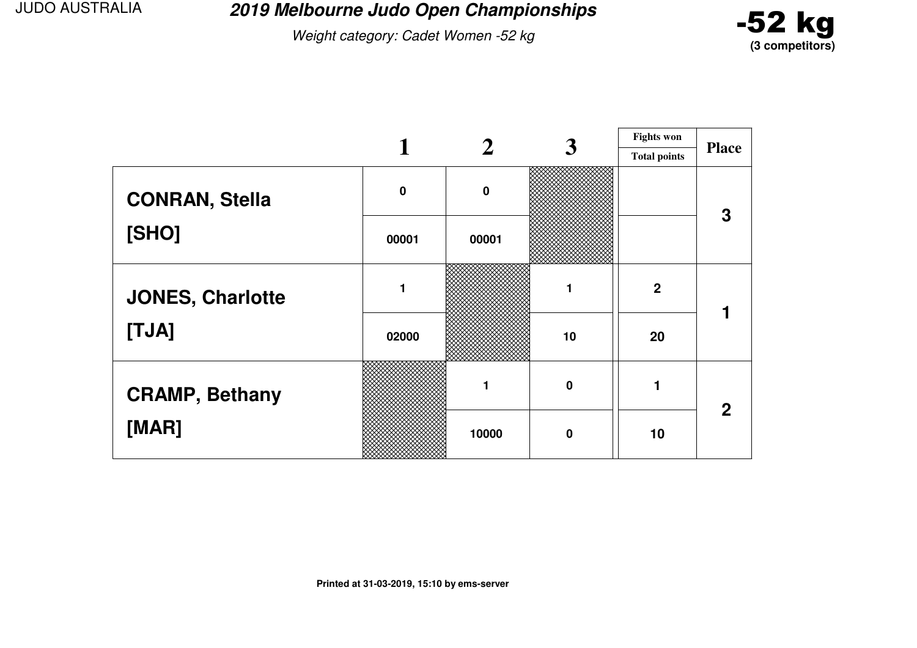**2019 Melbourne Judo Open Championships**

Weight category: Cadet Women -52 kg



|                         | 3         |          | <b>Fights won</b> |                     |              |
|-------------------------|-----------|----------|-------------------|---------------------|--------------|
|                         |           |          |                   | <b>Total points</b> | <b>Place</b> |
| <b>CONRAN, Stella</b>   | $\pmb{0}$ | $\bf{0}$ |                   |                     | 3            |
| [SHO]                   | 00001     | 00001    |                   |                     |              |
| <b>JONES, Charlotte</b> |           |          |                   | $\boldsymbol{2}$    |              |
| [TJA]                   | 02000     |          | 10                | 20                  |              |
| <b>CRAMP, Bethany</b>   |           |          | $\mathbf 0$       |                     | $\mathbf{2}$ |
| [MAR]                   |           | 10000    | $\mathbf 0$       | 10                  |              |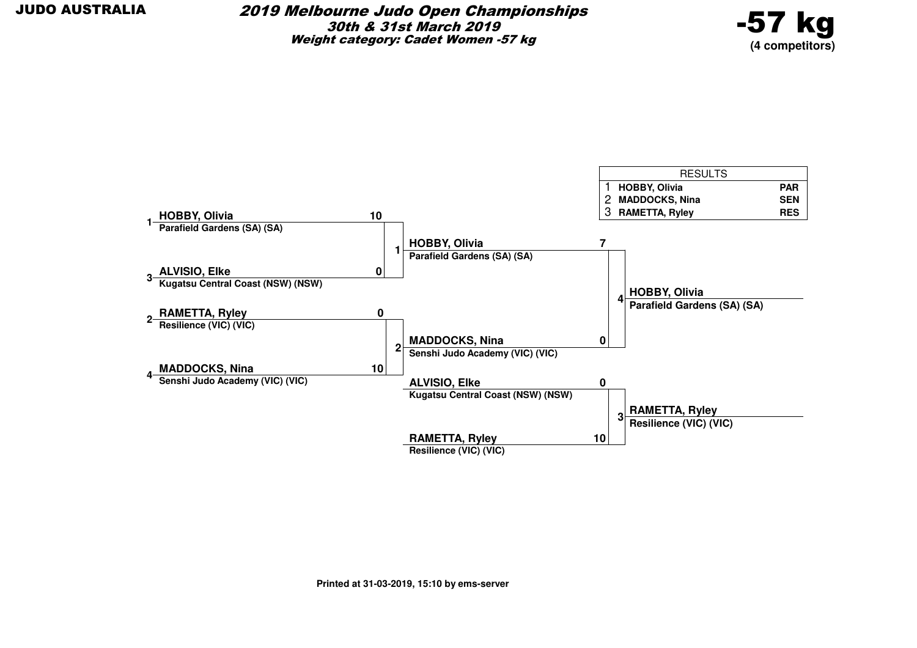

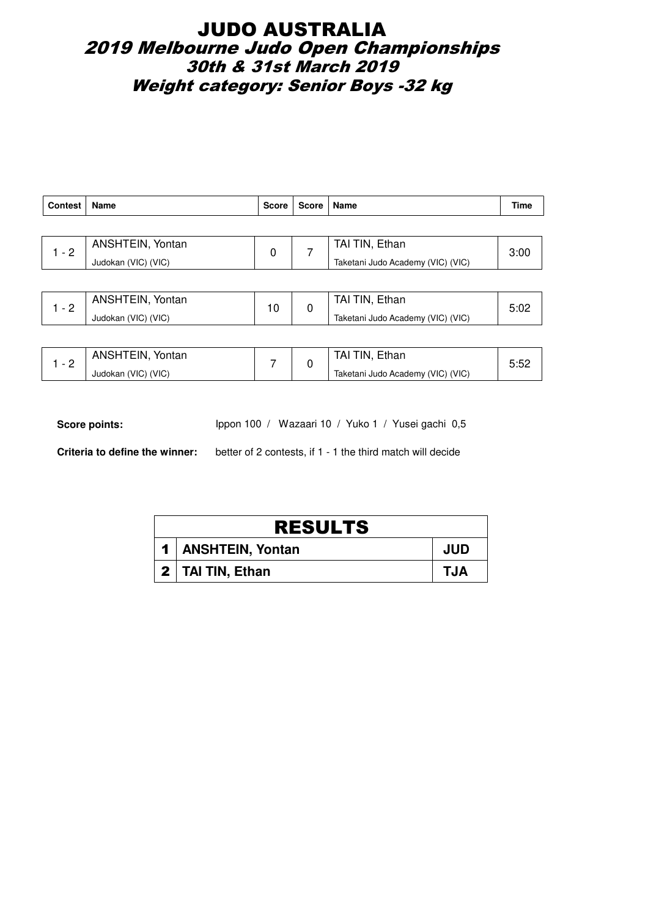## JUDO AUSTRALIA 2019 Melbourne Judo Open Championships 30th & 31st March 2019 Weight category: Senior Boys -32 kg

| <b>Contest</b> | <b>Name</b>         | <b>Score</b> | Score | Name                              | Time |  |
|----------------|---------------------|--------------|-------|-----------------------------------|------|--|
|                |                     |              |       |                                   |      |  |
| $1 - 2$        | ANSHTEIN, Yontan    | 0            |       | TAI TIN, Ethan                    | 3:00 |  |
|                | Judokan (VIC) (VIC) |              |       | Taketani Judo Academy (VIC) (VIC) |      |  |
|                |                     |              |       |                                   |      |  |
| $1 - 2$        | ANSHTEIN, Yontan    |              |       | TAI TIN, Ethan                    | 5:02 |  |
|                | Judokan (VIC) (VIC) | 10<br>0      |       | Taketani Judo Academy (VIC) (VIC) |      |  |

| ANSHTEIN, Yontan    |  | TAI TIN, Ethan                    |    |
|---------------------|--|-----------------------------------|----|
| Judokan (VIC) (VIC) |  | Taketani Judo Academy (VIC) (VIC) | ےب |

Score points: Ippon 100 / Wazaari 10 / Yuko 1 / Yusei gachi 0,5

| <b>RESULTS</b>       |            |  |  |  |  |
|----------------------|------------|--|--|--|--|
| 1   ANSHTEIN, Yontan | <b>JUD</b> |  |  |  |  |
| 2   TAI TIN, Ethan   | TJA        |  |  |  |  |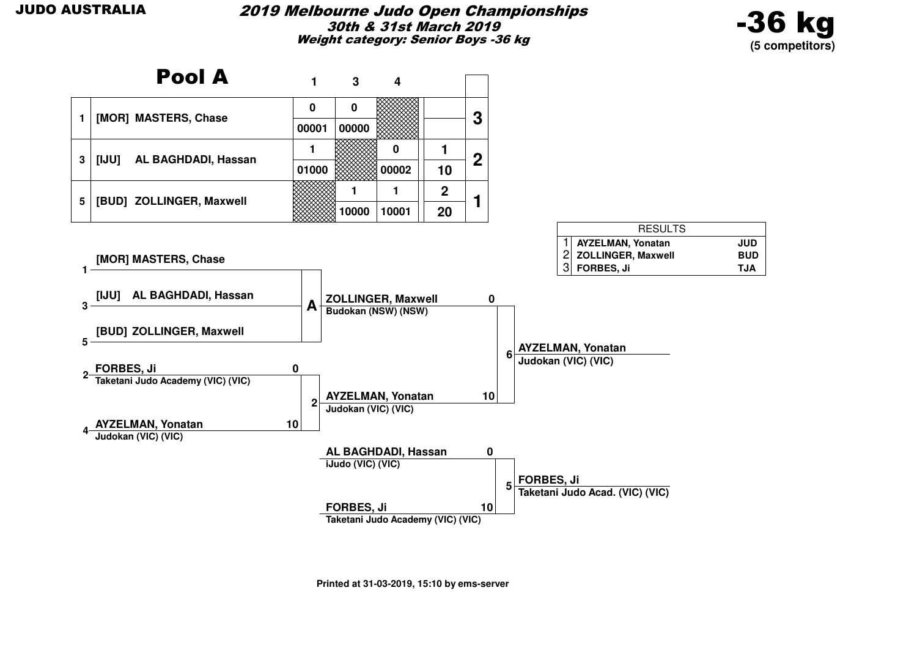

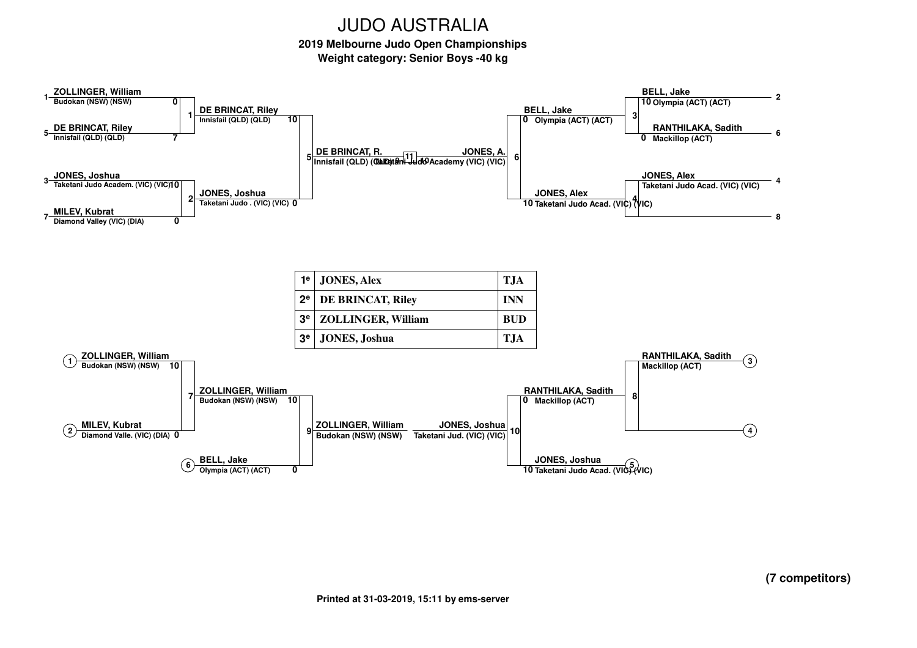**2019 Melbourne Judo Open ChampionshipsWeight category: Senior Boys -40 kg**

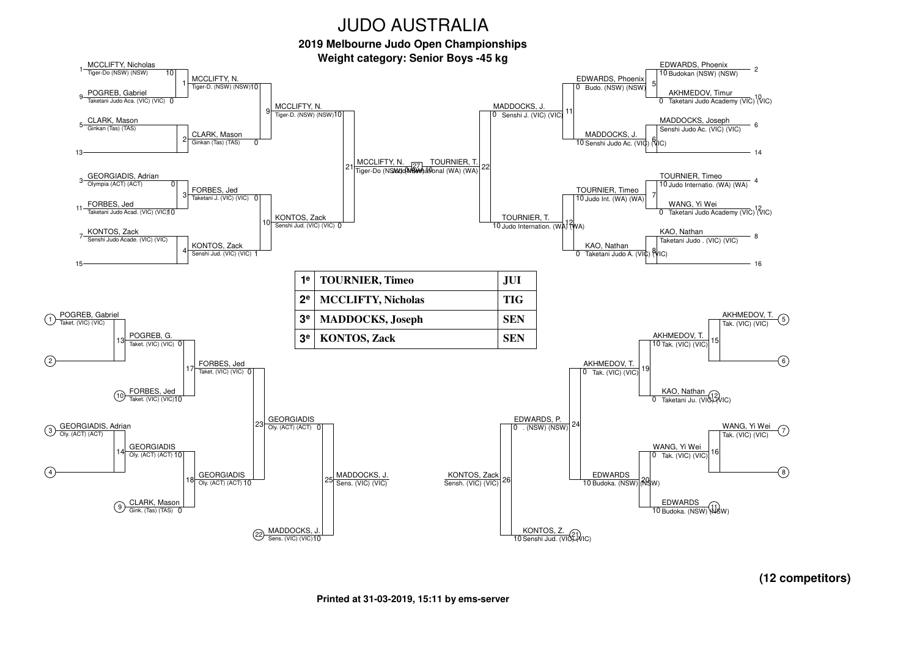**2019 Melbourne Judo Open Championships**



**(12 competitors)**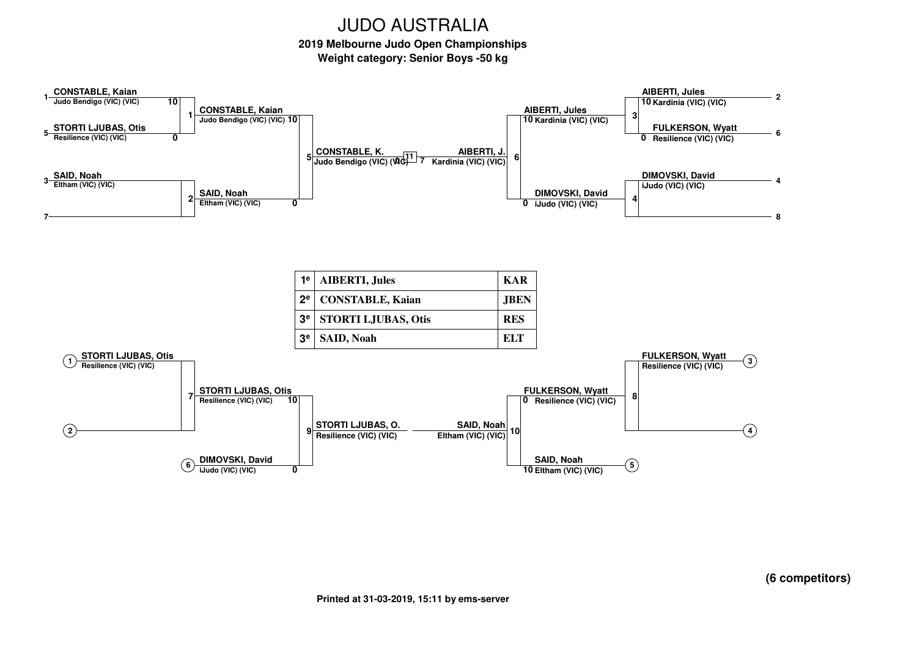**2019 Melbourne Judo Open ChampionshipsWeight category: Senior Boys -50 kg**



**(6 competitors)**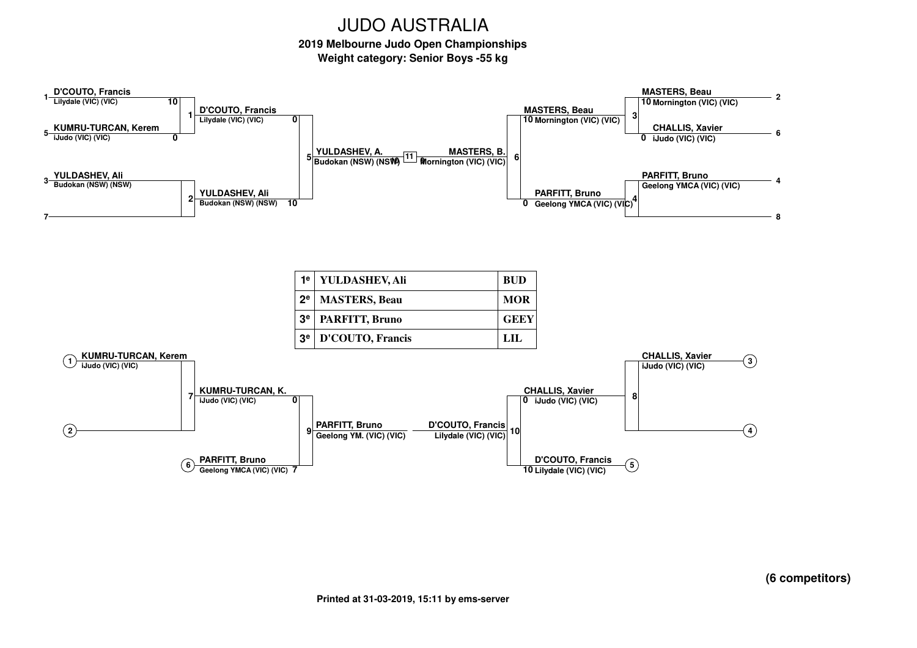**2019 Melbourne Judo Open ChampionshipsWeight category: Senior Boys -55 kg**



**(6 competitors)**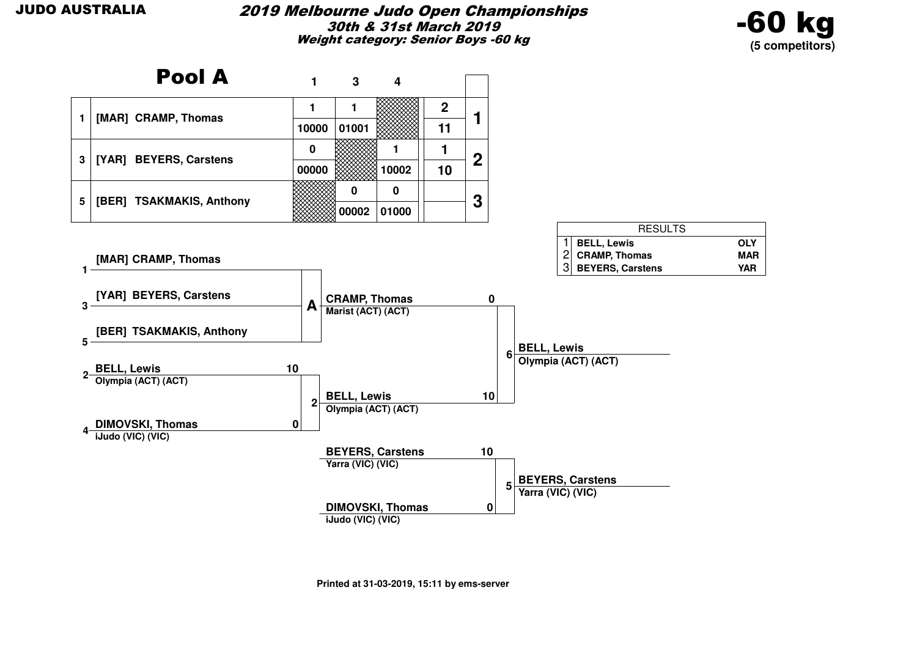

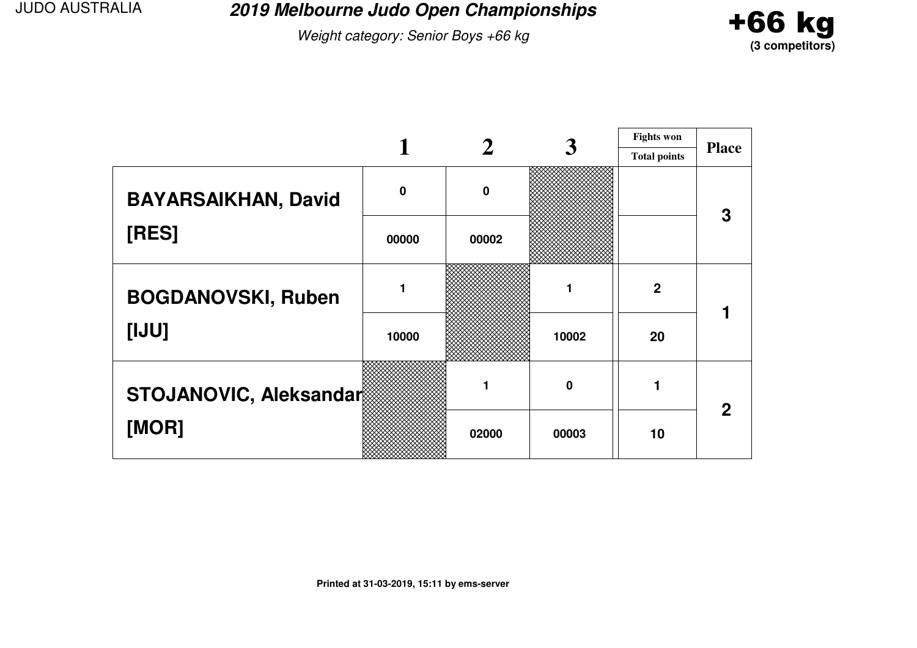**2019 Melbourne Judo Open Championships**

Weight category: Senior Boys +66 kg



|                            |             |          |       | <b>Fights won</b>   |              |
|----------------------------|-------------|----------|-------|---------------------|--------------|
|                            |             |          |       | <b>Total points</b> | <b>Place</b> |
| <b>BAYARSAIKHAN, David</b> | $\mathbf 0$ | $\bf{0}$ |       |                     |              |
| [RES]                      | 00000       | 00002    |       |                     |              |
| <b>BOGDANOVSKI, Ruben</b>  |             |          |       | $\mathbf{2}$        |              |
| [UU]                       | 10000       |          | 10002 | 20                  |              |
| STOJANOVIC, Aleksandar     |             |          | 0     |                     | $\mathbf 2$  |
| [MOR]                      |             | 02000    | 00003 | 10                  |              |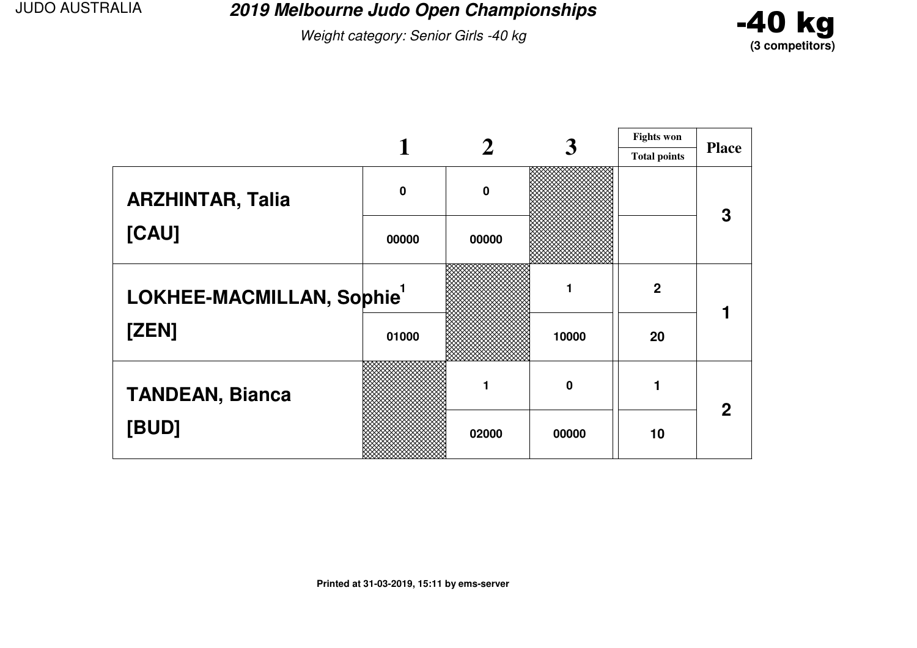**2019 Melbourne Judo Open Championships**

Weight category: Senior Girls -40 kg



|                          |             |             | 3     | <b>Fights won</b>   |              |
|--------------------------|-------------|-------------|-------|---------------------|--------------|
|                          |             |             |       | <b>Total points</b> | <b>Place</b> |
| <b>ARZHINTAR, Talia</b>  | $\mathbf 0$ | $\mathbf 0$ |       |                     | З            |
| [CAU]                    | 00000       | 00000       |       |                     |              |
| LOKHEE-MACMILLAN, Sophie |             |             |       | $\mathbf 2$         |              |
| [ZEN]                    | 01000       |             | 10000 | 20                  |              |
| <b>TANDEAN, Bianca</b>   |             |             | 0     |                     | $\mathbf 2$  |
| [BUD]                    |             | 02000       | 00000 | 10                  |              |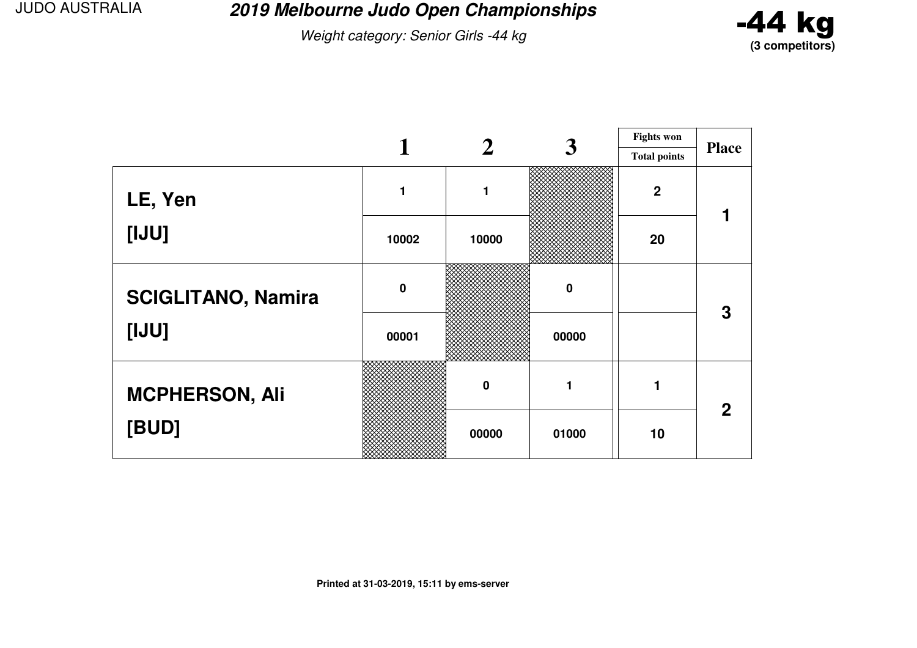**2019 Melbourne Judo Open Championships**

Weight category: Senior Girls -44 kg



|                           |             |                  | 3                | <b>Fights won</b>   |              |
|---------------------------|-------------|------------------|------------------|---------------------|--------------|
|                           |             |                  |                  | <b>Total points</b> | <b>Place</b> |
| LE, Yen                   |             | 1                |                  | $\overline{2}$      |              |
| [IJU]                     | 10002       | 10000            |                  | 20                  |              |
| <b>SCIGLITANO, Namira</b> | $\mathbf 0$ |                  | $\boldsymbol{0}$ |                     | 3            |
| [IJU]                     | 00001       |                  | 00000            |                     |              |
| <b>MCPHERSON, Ali</b>     |             | $\boldsymbol{0}$ | 1                |                     | $\mathbf 2$  |
| [BUD]                     |             | 00000            | 01000            | 10                  |              |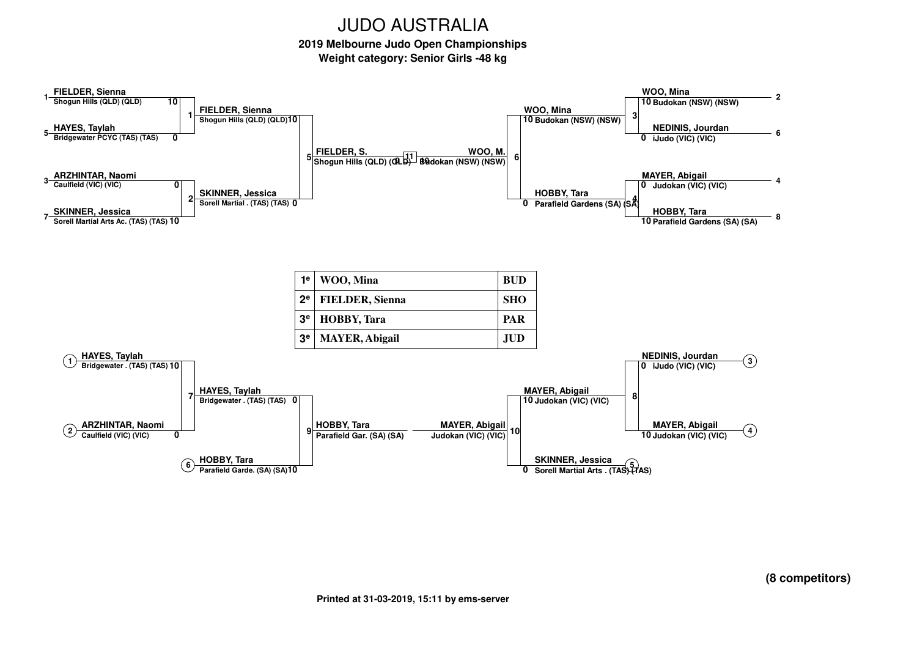**2019 Melbourne Judo Open ChampionshipsWeight category: Senior Girls -48 kg**

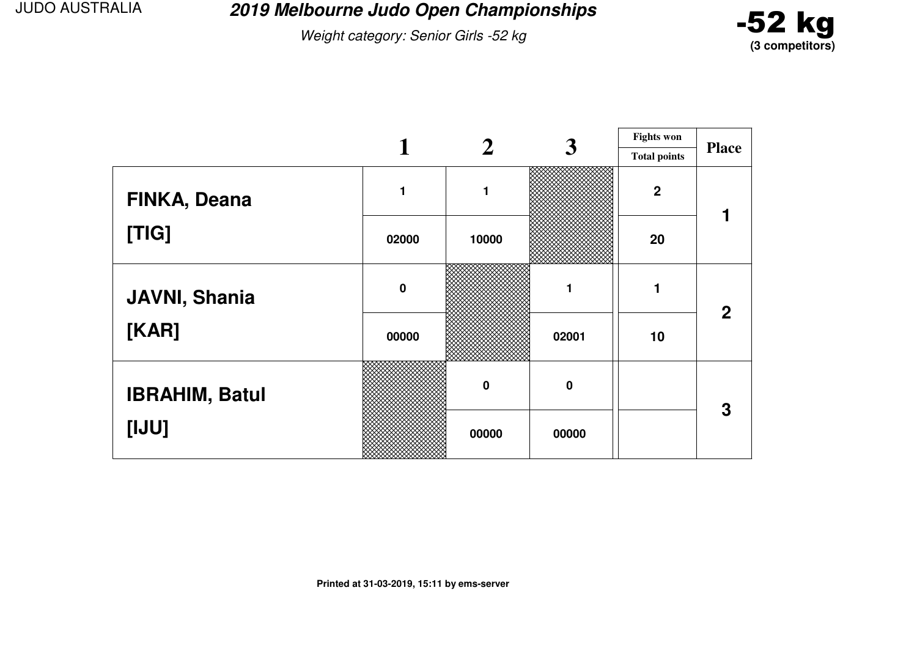**2019 Melbourne Judo Open Championships**

Weight category: Senior Girls -52 kg



|                       |             |             | 3        | <b>Fights won</b>   |                |
|-----------------------|-------------|-------------|----------|---------------------|----------------|
|                       |             |             |          | <b>Total points</b> | <b>Place</b>   |
| FINKA, Deana          |             | 1           |          | $\boldsymbol{2}$    |                |
| [TIG]                 | 02000       | 10000       |          | 20                  |                |
| <b>JAVNI, Shania</b>  | $\mathbf 0$ |             | 1        | 1                   | $\overline{2}$ |
| [KAR]                 | 00000       |             | 02001    | 10                  |                |
| <b>IBRAHIM, Batul</b> |             | $\mathbf 0$ | $\bf{0}$ |                     | 3              |
| [IJU]                 |             | 00000       | 00000    |                     |                |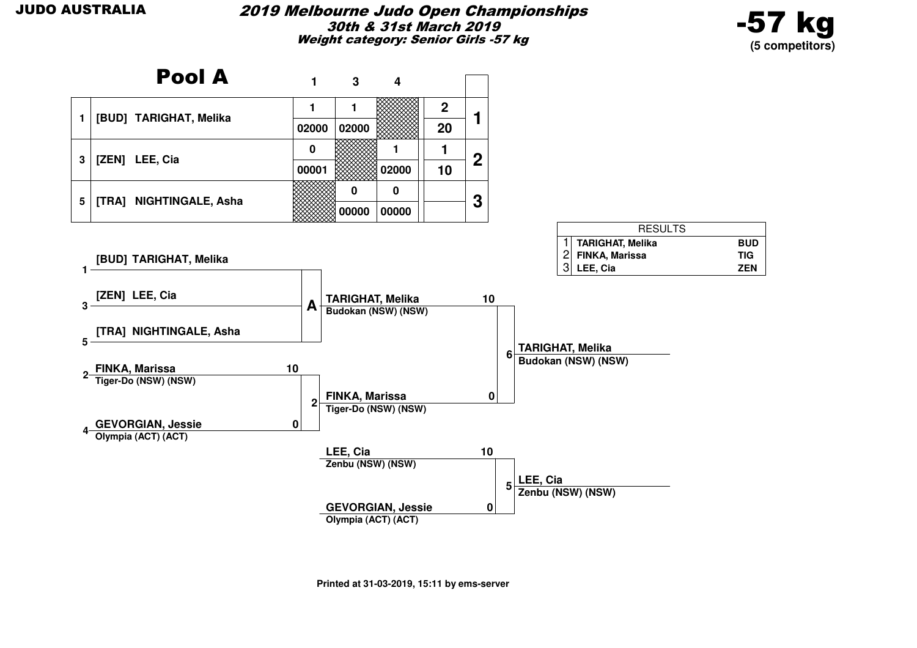

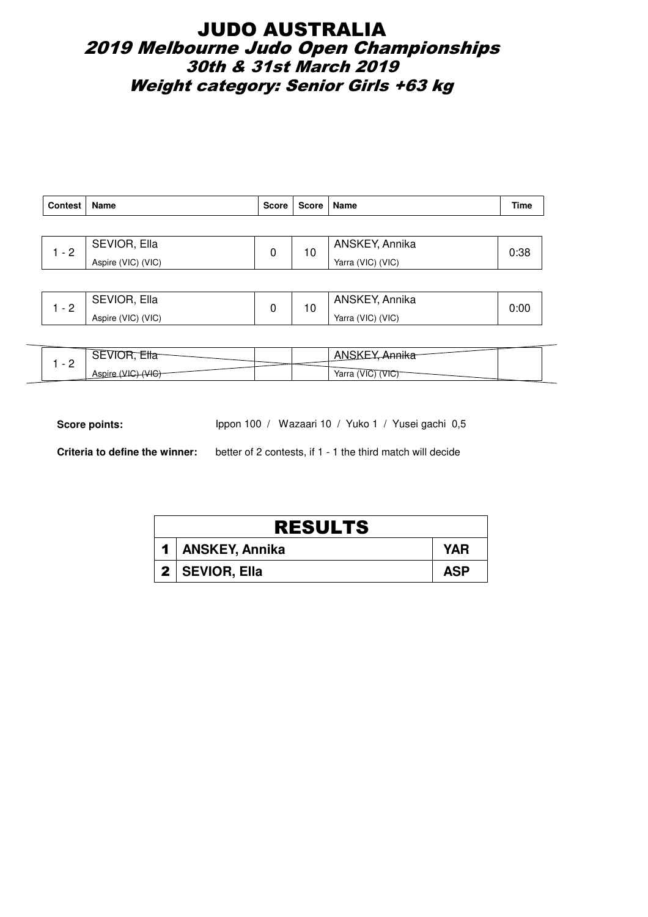## JUDO AUSTRALIA 2019 Melbourne Judo Open Championships 30th & 31st March 2019 Weight category: Senior Girls +63 kg

| Contest | <b>Name</b>        | Score | Score   Name |                   | Time |
|---------|--------------------|-------|--------------|-------------------|------|
|         |                    |       |              |                   |      |
| - 2     | SEVIOR, Ella       |       | 10           | ANSKEY, Annika    | 0:38 |
|         | Aspire (VIC) (VIC) |       |              | Yarra (VIC) (VIC) |      |

|          | SEVIOR, Ella       | 10 | ANSKEY, Annika    | 0:00 |
|----------|--------------------|----|-------------------|------|
| <u>_</u> | Aspire (VIC) (VIC) |    | Yarra (VIC) (VIC) |      |

| -<br>$\overline{\phantom{0}}$ | ◡∟                     |  | 1.0.0178<br>ור         |
|-------------------------------|------------------------|--|------------------------|
| <u>_</u>                      | $\sqrt{110}$<br>Aspıre |  | Yarra<br>$\mathcal{L}$ |

Score points: Ippon 100 / Wazaari 10 / Yuko 1 / Yusei gachi 0,5

| <b>RESULTS</b> |                    |            |  |  |  |
|----------------|--------------------|------------|--|--|--|
|                | 1   ANSKEY, Annika | YAR        |  |  |  |
|                | 2   SEVIOR, Ella   | <b>ASP</b> |  |  |  |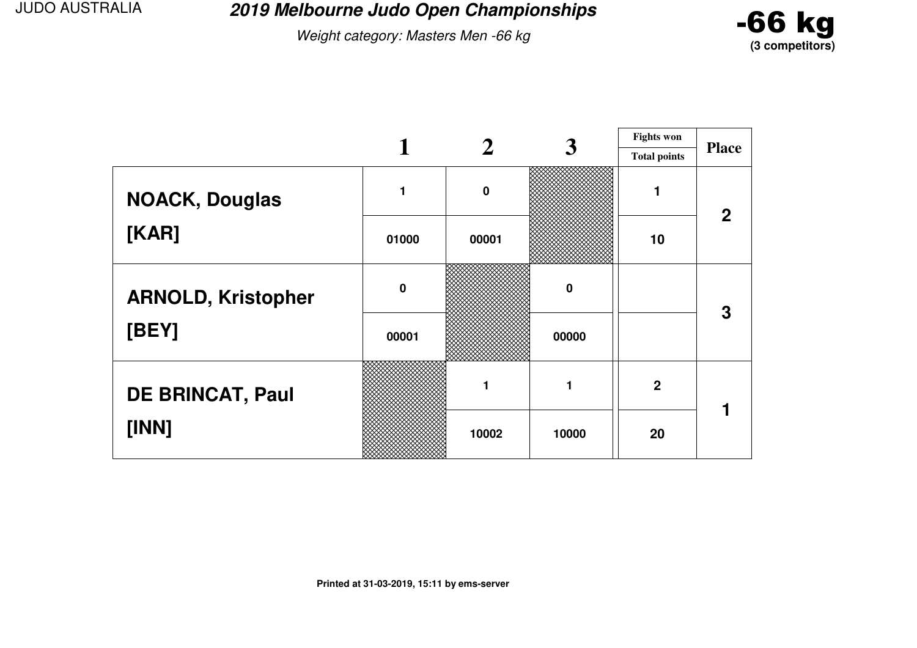**2019 Melbourne Judo Open Championships**

Weight category: Masters Men -66 kg



|                           |             |             | 3           | <b>Fights won</b>   |              |
|---------------------------|-------------|-------------|-------------|---------------------|--------------|
|                           |             |             |             | <b>Total points</b> | <b>Place</b> |
| <b>NOACK, Douglas</b>     |             | $\mathbf 0$ |             |                     | $\mathbf 2$  |
| [KAR]                     | 01000       | 00001       |             | 10                  |              |
| <b>ARNOLD, Kristopher</b> | $\mathbf 0$ |             | $\mathbf 0$ |                     | 3            |
| [BEY]                     | 00001       |             | 00000       |                     |              |
| <b>DE BRINCAT, Paul</b>   |             | 1           |             | $\overline{2}$      |              |
| [INN]                     |             | 10002       | 10000       | 20                  |              |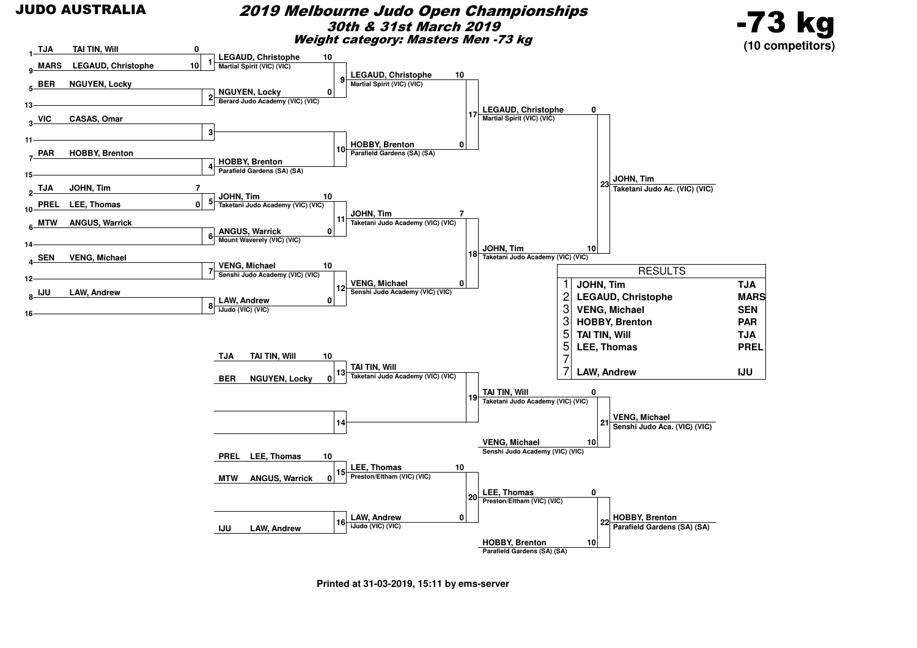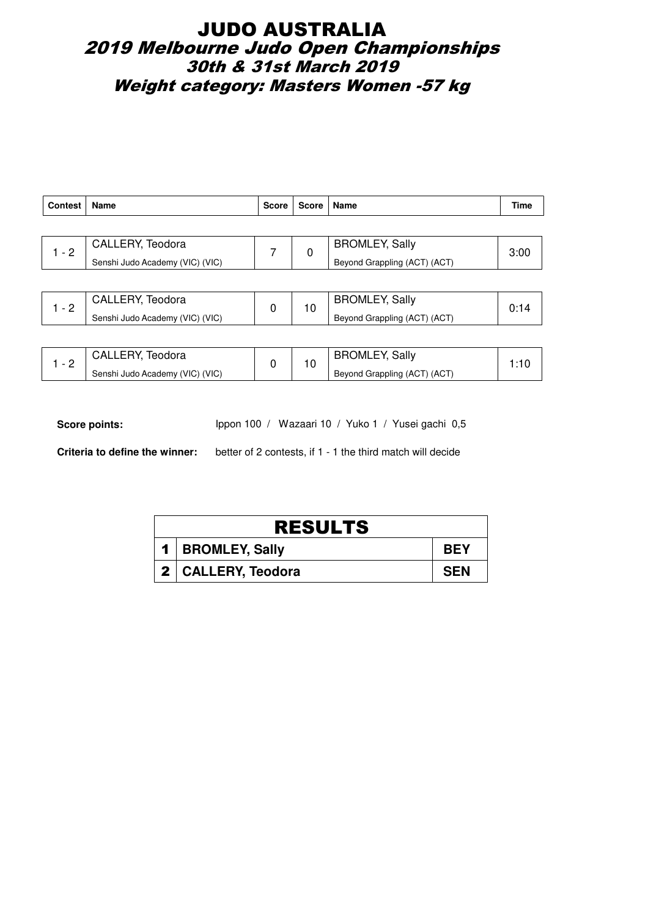## JUDO AUSTRALIA 2019 Melbourne Judo Open Championships 30th & 31st March 2019 Weight category: Masters Women -57 kg

| <b>Contest</b> | Name                            | Score | Score | Name                         | Time |
|----------------|---------------------------------|-------|-------|------------------------------|------|
|                |                                 |       |       |                              |      |
| $1 - 2$        | CALLERY, Teodora                |       | 0     | <b>BROMLEY, Sally</b>        | 3:00 |
|                | Senshi Judo Academy (VIC) (VIC) |       |       | Beyond Grappling (ACT) (ACT) |      |
|                |                                 |       |       |                              |      |

| $\sim$   | CALLERY.<br>Teodora             |  | <b>BROMLEY, Sally</b>                     |  |
|----------|---------------------------------|--|-------------------------------------------|--|
| <u>_</u> | Senshi Judo Academy (VIC) (VIC) |  | <sup>1</sup> Beyond Grappling (ACT) (ACT) |  |

| $\overline{\phantom{0}}$ | <b>CALLERY, Teodora</b>         |  | <b>BROMLEY, Sally</b>        |  |
|--------------------------|---------------------------------|--|------------------------------|--|
| <u>_</u>                 | Senshi Judo Academy (VIC) (VIC) |  | Beyond Grappling (ACT) (ACT) |  |

Score points: Ippon 100 / Wazaari 10 / Yuko 1 / Yusei gachi 0,5

| <b>RESULTS</b> |                      |            |  |  |  |
|----------------|----------------------|------------|--|--|--|
|                | 1   BROMLEY, Sally   | <b>BEY</b> |  |  |  |
|                | 2   CALLERY, Teodora | <b>SEN</b> |  |  |  |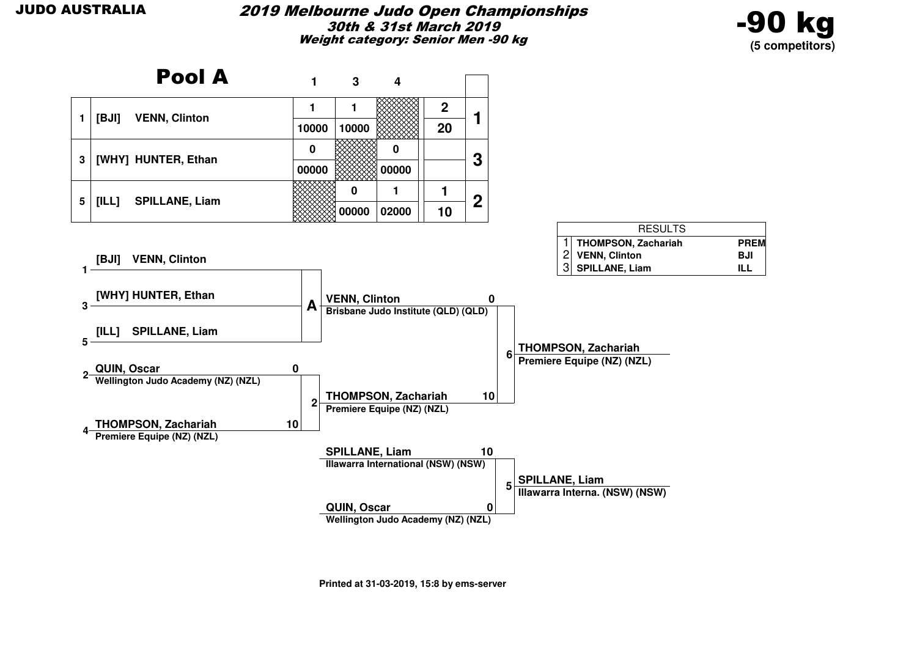

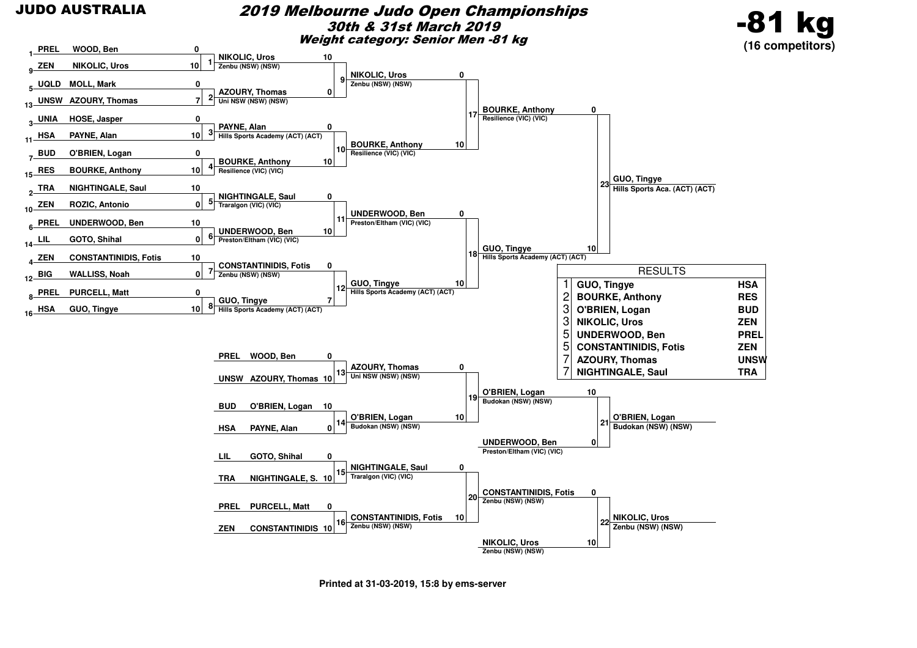

#### 2019 Melbourne Judo Open Championships30th & 31st March 2019Weight category: Senior Men -81 kg





**Printed at 31-03-2019, 15:8 by ems-server**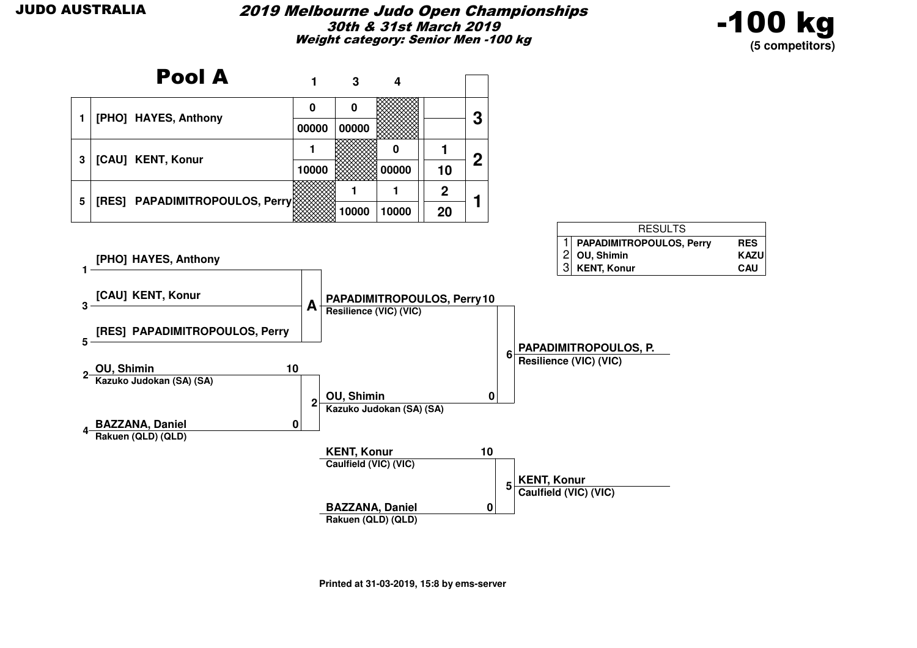

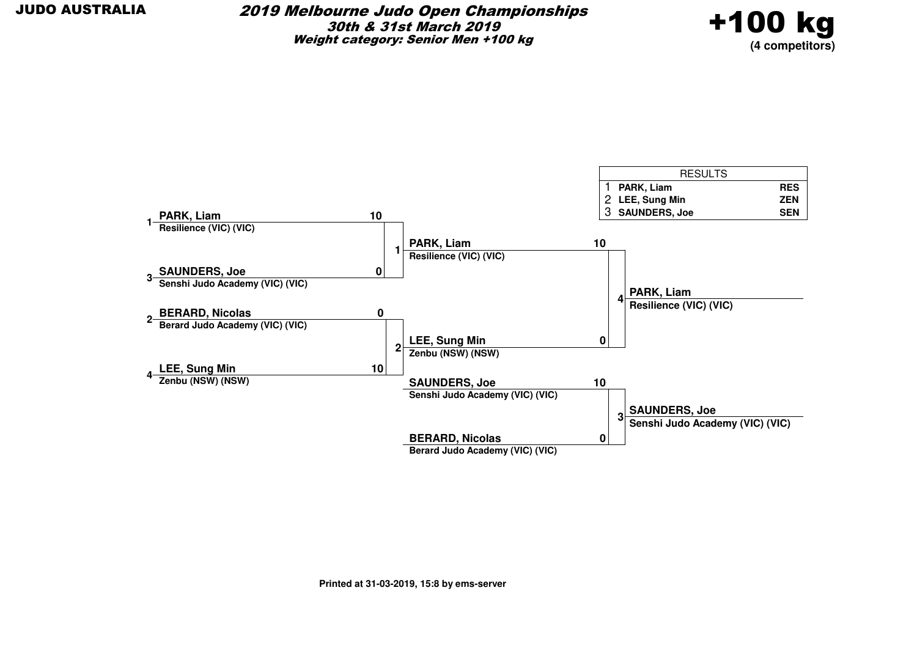#### 2019 Melbourne Judo Open Championships30th & 31st March 2019Weight category: Senior Men +100 kg



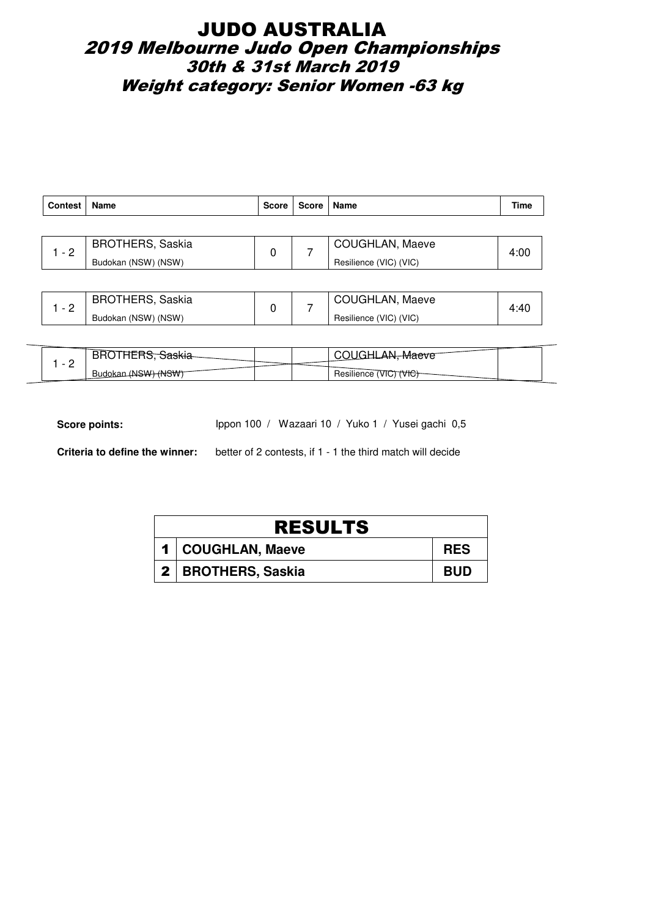## JUDO AUSTRALIA 2019 Melbourne Judo Open Championships 30th & 31st March 2019 Weight category: Senior Women -63 kg

| <b>Contest</b> | Name                    | <b>Score</b> | Score   Name |                        | Time |  |                 |      |
|----------------|-------------------------|--------------|--------------|------------------------|------|--|-----------------|------|
|                |                         |              |              |                        |      |  |                 |      |
| $-2$           | <b>BROTHERS, Saskia</b> |              |              |                        |      |  | COUGHLAN, Maeve | 4:00 |
|                | Budokan (NSW) (NSW)     |              |              | Resilience (VIC) (VIC) |      |  |                 |      |
|                |                         |              |              |                        |      |  |                 |      |

|          | <b>BROTHERS, Saskia</b> |  | COUGHLAN, Maeve        |  |
|----------|-------------------------|--|------------------------|--|
| <u>_</u> | Budokan (NSW) (NSW)     |  | Resilience (VIC) (VIC) |  |

|   |                                            |  | <del>Mae</del> ve                |  |
|---|--------------------------------------------|--|----------------------------------|--|
| - | -(N <del>SW) (NSW)</del><br>Budokan<br>$+$ |  | $\cdots$<br>Resilience<br>$T\pi$ |  |

Score points: Ippon 100 / Wazaari 10 / Yuko 1 / Yusei gachi 0,5

| <b>RESULTS</b> |                      |            |  |  |  |
|----------------|----------------------|------------|--|--|--|
|                | 1   COUGHLAN, Maeve  | <b>RES</b> |  |  |  |
|                | 2   BROTHERS, Saskia | <b>BUD</b> |  |  |  |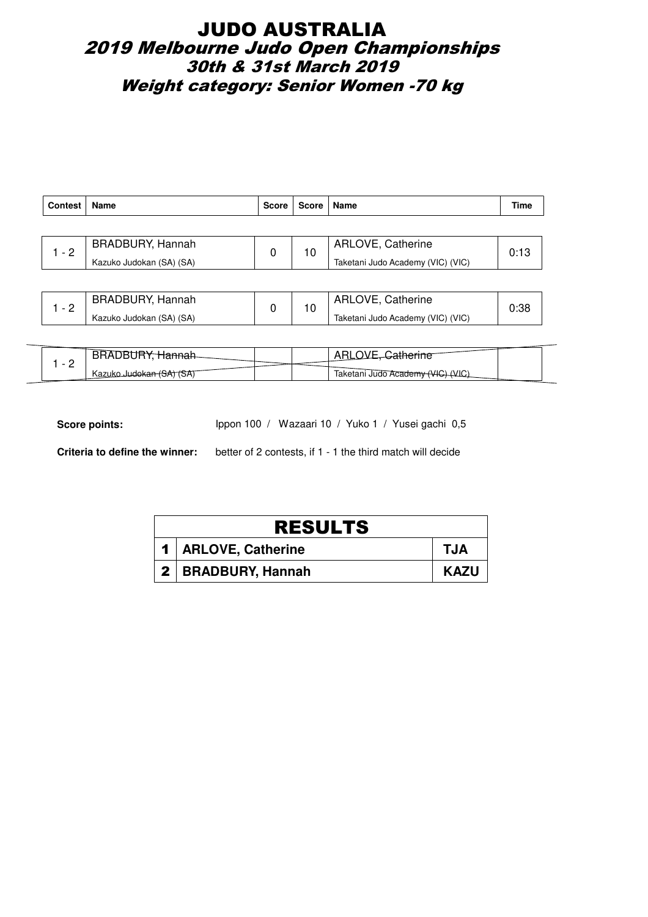## JUDO AUSTRALIA 2019 Melbourne Judo Open Championships 30th & 31st March 2019 Weight category: Senior Women -70 kg

| <b>Contest</b> | Name                     | <b>Score</b> | Score | Name                              | Time |
|----------------|--------------------------|--------------|-------|-----------------------------------|------|
|                |                          |              |       |                                   |      |
| - 2            | <b>BRADBURY, Hannah</b>  | 0            | 10    | ARLOVE, Catherine                 | 0:13 |
|                | Kazuko Judokan (SA) (SA) |              |       | Taketani Judo Academy (VIC) (VIC) |      |
|                |                          |              |       |                                   |      |

| BRADBURY, Hannah         |  | ARLOVE, Catherine                 |  |
|--------------------------|--|-----------------------------------|--|
| Kazuko Judokan (SA) (SA) |  | Taketani Judo Academy (VIC) (VIC) |  |

| $\overline{\phantom{0}}$ |                                         |  | athawin                              |  |
|--------------------------|-----------------------------------------|--|--------------------------------------|--|
| -                        | Kazuko Judo <del>kan (SA)</del><br>(OA) |  | (VIC)<br>Taketani Judo Academy (VIC) |  |

Score points: Ippon 100 / Wazaari 10 / Yuko 1 / Yusei gachi 0,5

| <b>RESULTS</b> |                       |             |  |  |  |
|----------------|-----------------------|-------------|--|--|--|
|                | 1   ARLOVE, Catherine | <b>TJA</b>  |  |  |  |
|                | 2   BRADBURY, Hannah  | <b>KAZU</b> |  |  |  |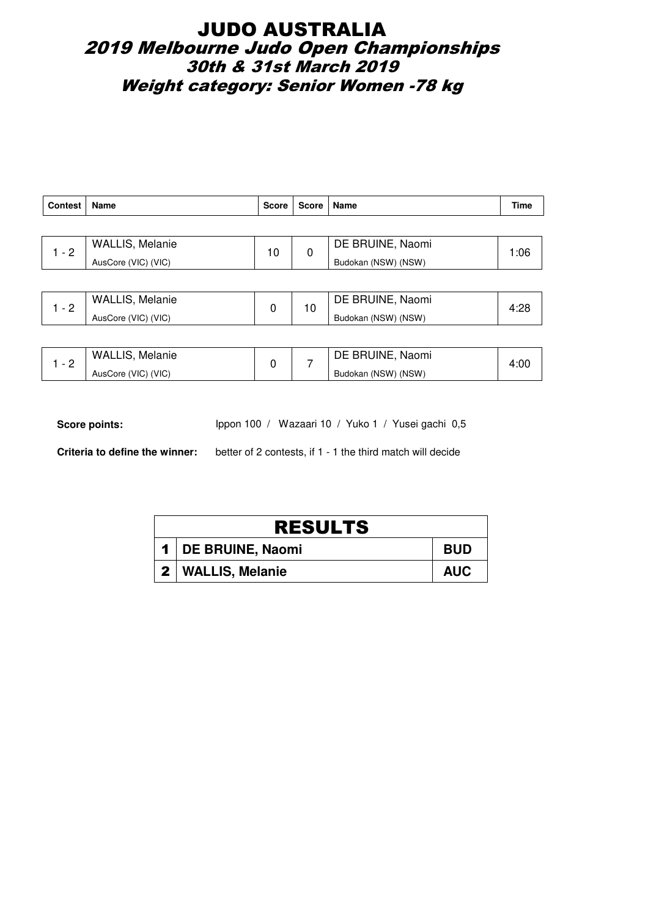## JUDO AUSTRALIA 2019 Melbourne Judo Open Championships 30th & 31st March 2019 Weight category: Senior Women -78 kg

| <b>Contest</b> | Name                   | Score | Score | Name                | <b>Time</b> |
|----------------|------------------------|-------|-------|---------------------|-------------|
|                |                        |       |       |                     |             |
| $1 - 2$        | <b>WALLIS, Melanie</b> | 10    | 0     | DE BRUINE, Naomi    | 1:06        |
|                | AusCore (VIC) (VIC)    |       |       | Budokan (NSW) (NSW) |             |
|                |                        |       |       |                     |             |
| $1 - 2$        | <b>WALLIS, Melanie</b> | 0     | 10    | DE BRUINE, Naomi    | 4:28        |
|                | AusCore (VIC) (VIC)    |       |       | Budokan (NSW) (NSW) |             |
|                |                        |       |       |                     |             |

| - | <b>WALLIS, Melanie</b> |  | DE BRUINE, Naomi    | 4:00 |
|---|------------------------|--|---------------------|------|
| - | AusCore (VIC) (VIC)    |  | Budokan (NSW) (NSW) |      |

Score points: Ippon 100 / Wazaari 10 / Yuko 1 / Yusei gachi 0,5

| <b>RESULTS</b> |                      |            |  |  |  |
|----------------|----------------------|------------|--|--|--|
|                | 1   DE BRUINE, Naomi | <b>BUD</b> |  |  |  |
|                | 2   WALLIS, Melanie  | <b>AUC</b> |  |  |  |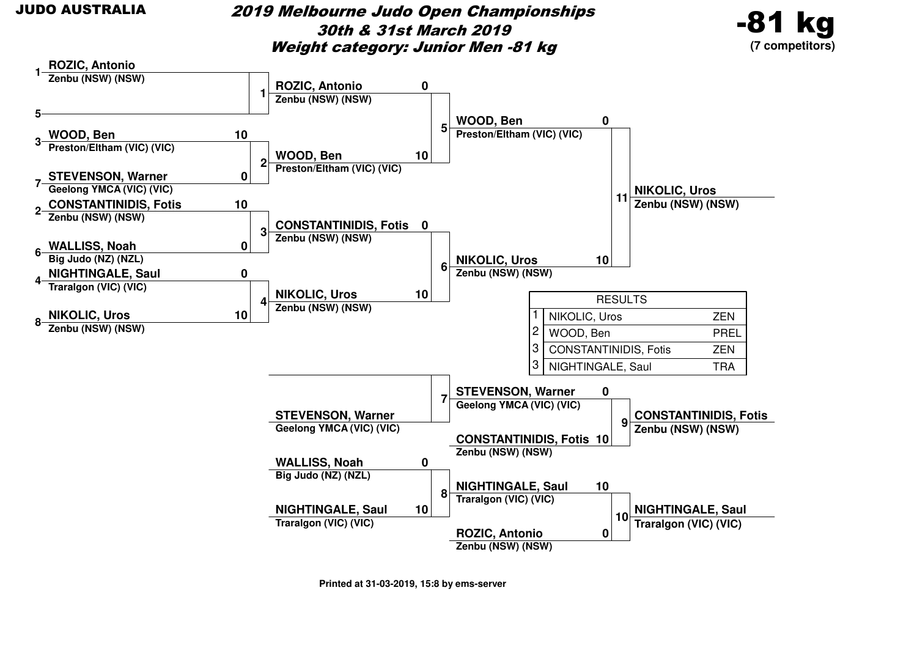#### 2019 Melbourne Judo Open Championships30th & 31st March 2019Weight category: Junior Men -81 kg



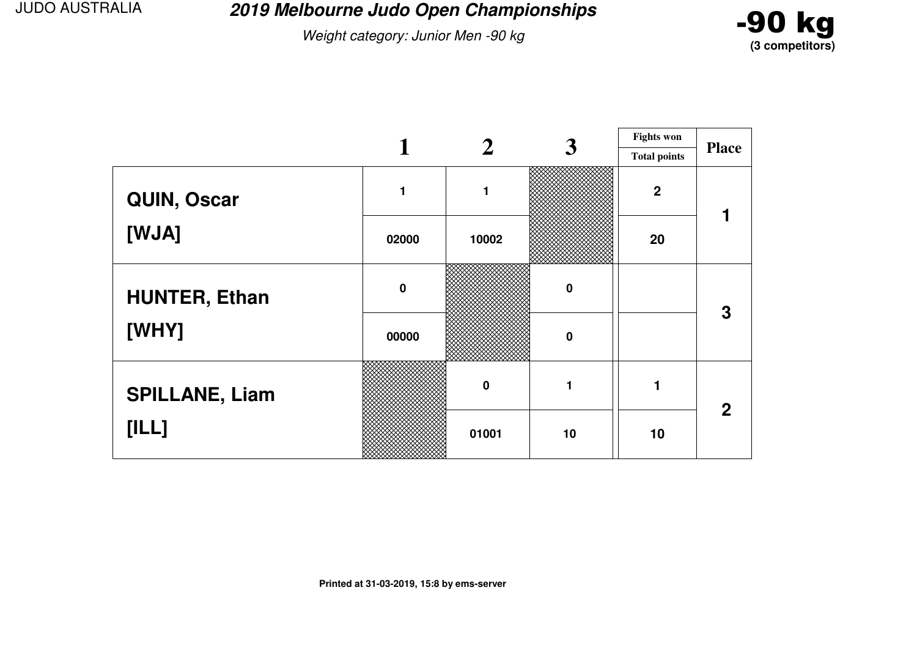**2019 Melbourne Judo Open Championships**

Weight category: Junior Men -90 kg



|                       |             |                  | $\boldsymbol{3}$ | <b>Fights won</b>   |              |
|-----------------------|-------------|------------------|------------------|---------------------|--------------|
|                       |             |                  |                  | <b>Total points</b> | <b>Place</b> |
| QUIN, Oscar           |             | 1                |                  | $\boldsymbol{2}$    |              |
| [WJA]                 | 02000       | 10002            |                  | 20                  |              |
| <b>HUNTER, Ethan</b>  | $\mathbf 0$ |                  | $\bf{0}$         |                     | 3            |
| [WHY]                 | 00000       |                  | 0                |                     |              |
| <b>SPILLANE, Liam</b> |             | $\boldsymbol{0}$ |                  |                     | $\mathbf{2}$ |
| [ILL]                 |             | 01001            | 10               | 10                  |              |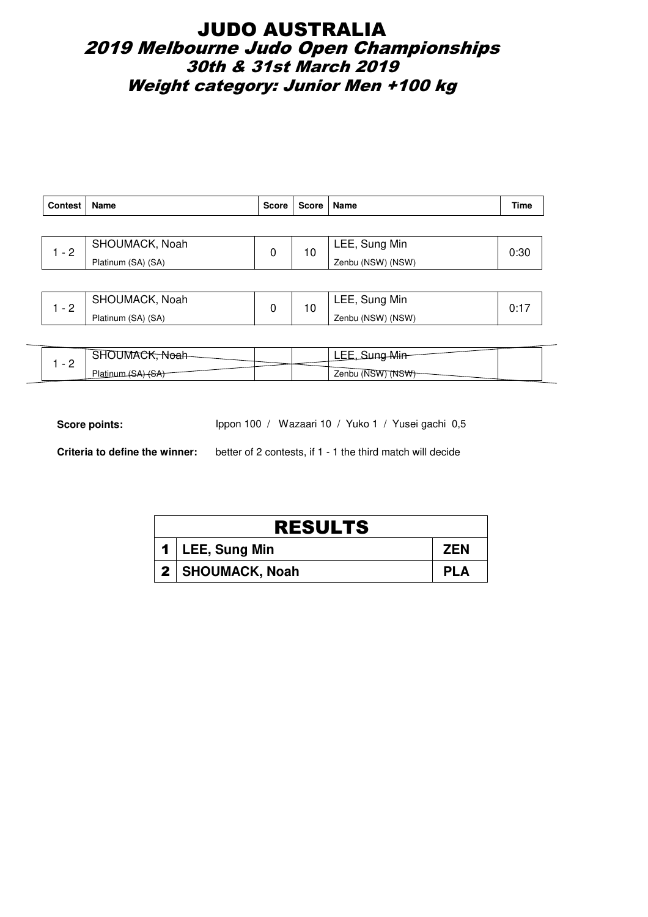## JUDO AUSTRALIA 2019 Melbourne Judo Open Championships 30th & 31st March 2019 Weight category: Junior Men +100 kg

| Contest | Name               | <b>Score</b> | Score   Name |                   | Time |
|---------|--------------------|--------------|--------------|-------------------|------|
|         |                    |              |              |                   |      |
| $-2$    | SHOUMACK, Noah     | 0            | 10           | LEE, Sung Min     | 0:30 |
|         | Platinum (SA) (SA) |              |              | Zenbu (NSW) (NSW) |      |
|         |                    |              |              |                   |      |

| $\overline{\phantom{0}}$ | SHOUMACK, Noah     | $\overline{ }$ | LEE, Sung Min     |  |
|--------------------------|--------------------|----------------|-------------------|--|
| <u>_</u>                 | Platinum (SA) (SA) | ົບ.            | Zenbu (NSW) (NSW) |  |

| $\overline{\phantom{a}}$ | . IMP        |  | ----                          |  |
|--------------------------|--------------|--|-------------------------------|--|
| -                        | <b>Plati</b> |  | Zenbu (NSW) (NS <del>W)</del> |  |

Score points: Ippon 100 / Wazaari 10 / Yuko 1 / Yusei gachi 0,5

| <b>RESULTS</b> |                    |            |  |  |  |  |
|----------------|--------------------|------------|--|--|--|--|
|                | 1   LEE, Sung Min  | <b>ZEN</b> |  |  |  |  |
|                | 2   SHOUMACK, Noah | <b>PLA</b> |  |  |  |  |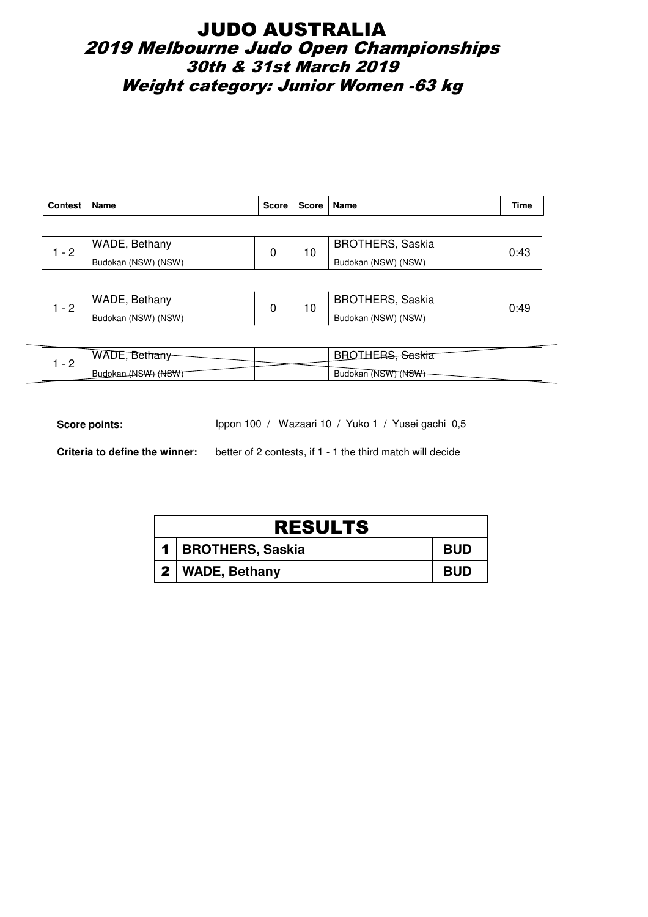## JUDO AUSTRALIA 2019 Melbourne Judo Open Championships 30th & 31st March 2019 Weight category: Junior Women -63 kg

| <b>Contest</b> | Name                | <b>Score</b> | Score               | Name                    | Time |
|----------------|---------------------|--------------|---------------------|-------------------------|------|
|                |                     |              |                     |                         |      |
| $-2$           | WADE, Bethany       | 0            |                     | <b>BROTHERS, Saskia</b> | 0:43 |
|                | Budokan (NSW) (NSW) | 10           | Budokan (NSW) (NSW) |                         |      |
|                |                     |              |                     |                         |      |

|          | WADE, Bethany       |  | <b>BROTHERS, Saskia</b> |  |
|----------|---------------------|--|-------------------------|--|
| <u>_</u> | Budokan (NSW) (NSW) |  | Budokan (NSW) (NSW)     |  |

|   | WA.<br>ື                           |  | aonia                 |  |
|---|------------------------------------|--|-----------------------|--|
| - | (NSW <del>) (NSW)</del><br>Budokan |  | (NSW) (NSW<br>Budokan |  |

Score points: Ippon 100 / Wazaari 10 / Yuko 1 / Yusei gachi 0,5

| <b>RESULTS</b> |                      |            |  |  |  |  |
|----------------|----------------------|------------|--|--|--|--|
|                | 1   BROTHERS, Saskia | <b>BUD</b> |  |  |  |  |
|                | 2   WADE, Bethany    | <b>BUD</b> |  |  |  |  |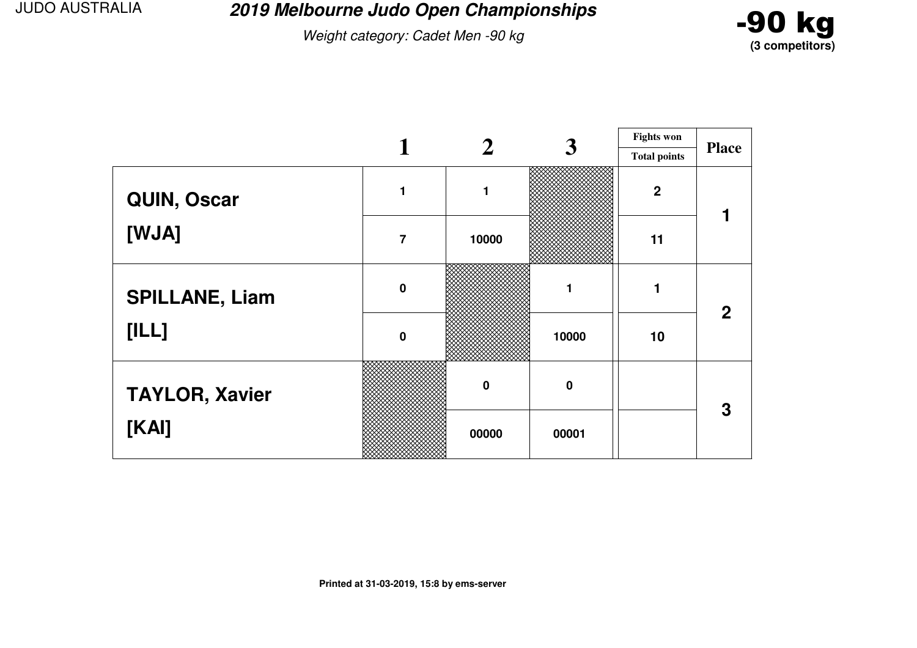**2019 Melbourne Judo Open Championships**

Weight category: Cadet Men -90 kg



|                       |                | $\mathbf 2$    | 3           | <b>Fights won</b>   |                |  |
|-----------------------|----------------|----------------|-------------|---------------------|----------------|--|
|                       |                |                |             | <b>Total points</b> | <b>Place</b>   |  |
| QUIN, Oscar           |                | $\blacksquare$ |             | $\boldsymbol{2}$    |                |  |
| [WJA]                 | $\overline{7}$ | 10000          |             | 11                  |                |  |
| <b>SPILLANE, Liam</b> | $\mathbf 0$    |                |             |                     | 2 <sup>1</sup> |  |
| [ILL]                 | $\mathbf 0$    |                | 10000       | 10                  |                |  |
| <b>TAYLOR, Xavier</b> |                | $\mathbf 0$    | $\mathbf 0$ |                     | 3              |  |
| [KAI]                 |                | 00000          | 00001       |                     |                |  |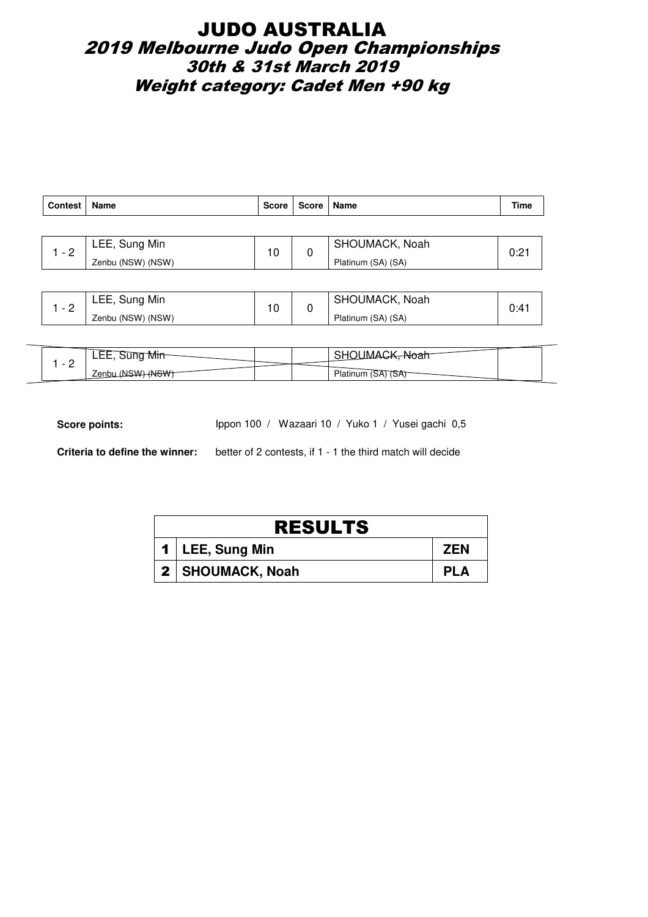## JUDO AUSTRALIA 2019 Melbourne Judo Open Championships 30th & 31st March 2019 Weight category: Cadet Men +90 kg

| <b>Contest</b> | <b>Name</b>         | <b>Score</b> | Score   Name   |                    | Time |
|----------------|---------------------|--------------|----------------|--------------------|------|
|                |                     |              |                |                    |      |
| $-2$           | LEE, Sung Min<br>10 |              | SHOUMACK, Noah |                    |      |
|                | Zenbu (NSW) (NSW)   |              | 0              | Platinum (SA) (SA) | 0:21 |
|                |                     |              |                |                    |      |

|          | LEE, Sung Min     | م 4 | SHOUMACK, Noah     |  |
|----------|-------------------|-----|--------------------|--|
| <u>_</u> | Zenbu (NSW) (NSW) |     | Platinum (SA) (SA) |  |

| $\overline{\phantom{0}}$ | <u>iviiri</u><br>وصصاحا |  | wUan.           |  |
|--------------------------|-------------------------|--|-----------------|--|
| -                        | <b>Zenbu</b>            |  | riatinum.<br>OН |  |

Score points: Ippon 100 / Wazaari 10 / Yuko 1 / Yusei gachi 0,5

| <b>RESULTS</b>     |            |
|--------------------|------------|
| 1   LEE, Sung Min  | <b>ZEN</b> |
| 2   SHOUMACK, Noah | <b>PLA</b> |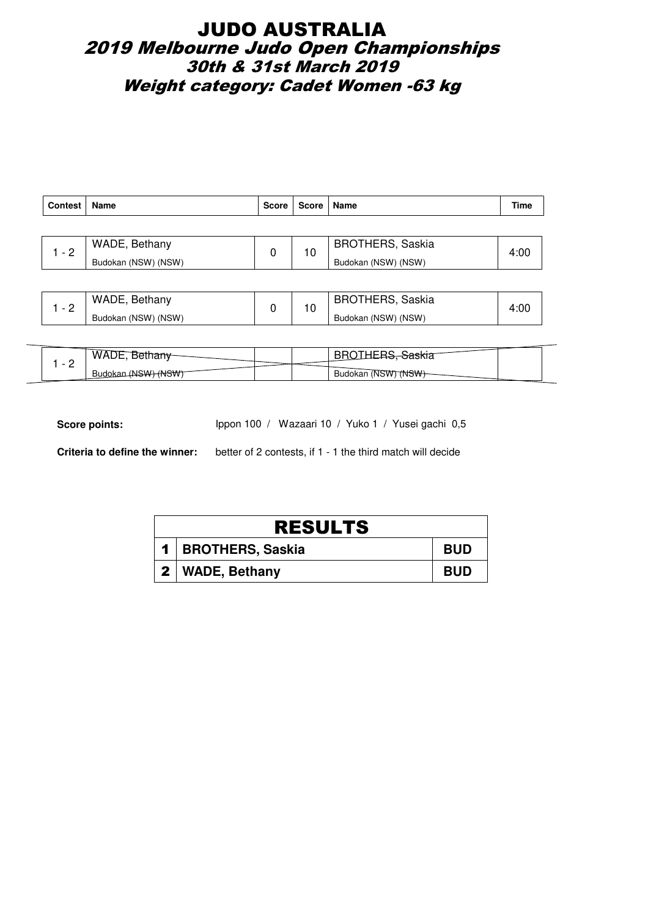## JUDO AUSTRALIA 2019 Melbourne Judo Open Championships 30th & 31st March 2019 Weight category: Cadet Women -63 kg

| <b>Contest</b> | Name                | <b>Score</b> | Score | Name                | Time                    |      |
|----------------|---------------------|--------------|-------|---------------------|-------------------------|------|
|                |                     |              |       |                     |                         |      |
| $-2$           | WADE, Bethany       | 0            |       | 10                  | <b>BROTHERS, Saskia</b> | 4:00 |
|                | Budokan (NSW) (NSW) |              |       | Budokan (NSW) (NSW) |                         |      |
|                |                     |              |       |                     |                         |      |

|   | WADE, Bethany       |  | BROTHERS, Saskia    | 4.VJ |
|---|---------------------|--|---------------------|------|
| - | Budokan (NSW) (NSW) |  | Budokan (NSW) (NSW) |      |

| - | WAL                                |  |                                 |  |
|---|------------------------------------|--|---------------------------------|--|
| - | <del>MSW) (NSW)</del><br>, Budokar |  | Budokan (NSW) (N <del>SW)</del> |  |

Score points: Ippon 100 / Wazaari 10 / Yuko 1 / Yusei gachi 0,5

| <b>RESULTS</b>       |            |
|----------------------|------------|
| 1   BROTHERS, Saskia | <b>BUD</b> |
| 2   WADE, Bethany    | <b>BUD</b> |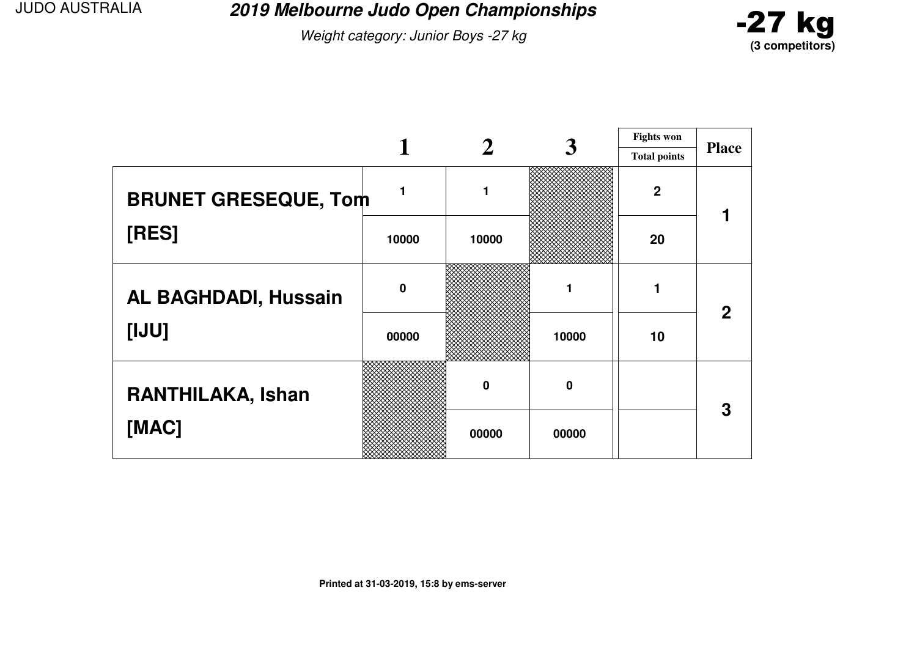**2019 Melbourne Judo Open Championships**

Weight category: Junior Boys -27 kg



|                             |             |          |             | <b>Fights won</b>   |              |
|-----------------------------|-------------|----------|-------------|---------------------|--------------|
|                             |             |          |             | <b>Total points</b> | <b>Place</b> |
| <b>BRUNET GRESEQUE, Tom</b> |             | 1        |             | $\overline{2}$      |              |
| [RES]                       | 10000       | 10000    |             | 20                  |              |
| <b>AL BAGHDADI, Hussain</b> | $\mathbf 0$ |          |             |                     | 2            |
| [IJU]                       | 00000       |          | 10000       | 10                  |              |
| RANTHILAKA, Ishan           |             | $\bf{0}$ | $\mathbf 0$ |                     | 3            |
| [MAC]                       |             | 00000    | 00000       |                     |              |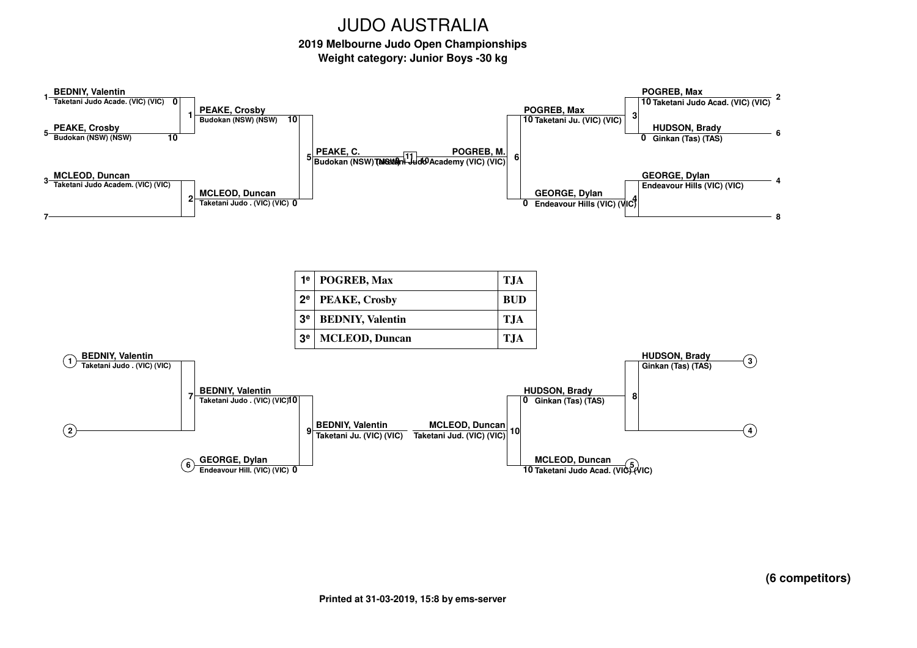**2019 Melbourne Judo Open Championships**

**Weight category: Junior Boys -30 kg**



**(6 competitors)**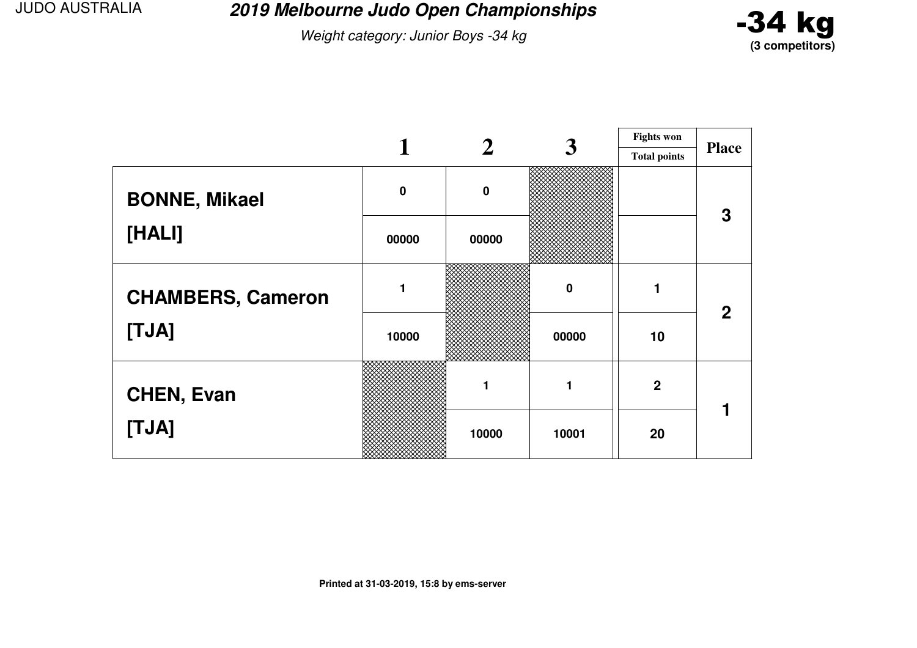**2019 Melbourne Judo Open Championships**

Weight category: Junior Boys -34 kg



|                          |             |             | 3        | <b>Fights won</b>   |              |
|--------------------------|-------------|-------------|----------|---------------------|--------------|
|                          |             |             |          | <b>Total points</b> | <b>Place</b> |
| <b>BONNE, Mikael</b>     | $\mathbf 0$ | $\mathbf 0$ |          |                     | 3            |
| [HALI]                   | 00000       | 00000       |          |                     |              |
| <b>CHAMBERS, Cameron</b> |             |             | $\bf{0}$ | 1                   | $\mathbf{2}$ |
| [TJA]                    | 10000       |             | 00000    | 10                  |              |
| <b>CHEN, Evan</b>        |             | 1           | 1        | $\overline{2}$      |              |
| [TJA]                    |             | 10000       | 10001    | 20                  |              |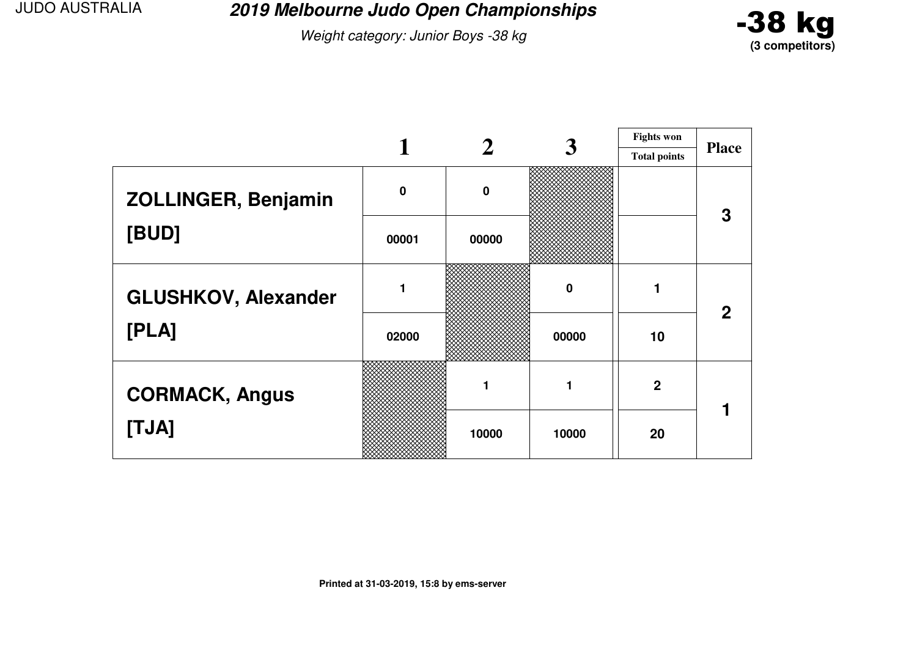**2019 Melbourne Judo Open Championships**

Weight category: Junior Boys -38 kg



|                            |             |          | 3        | <b>Fights won</b>   |              |
|----------------------------|-------------|----------|----------|---------------------|--------------|
|                            |             |          |          | <b>Total points</b> | <b>Place</b> |
| <b>ZOLLINGER, Benjamin</b> | $\mathbf 0$ | $\bf{0}$ |          |                     | 3            |
| [BUD]                      | 00001       | 00000    |          |                     |              |
| <b>GLUSHKOV, Alexander</b> |             |          | $\bf{0}$ |                     | $\mathbf{2}$ |
| [PLA]                      | 02000       |          | 00000    | 10                  |              |
| <b>CORMACK, Angus</b>      |             | 1        | 1        | $\mathbf 2$         |              |
| [TJA]                      |             | 10000    | 10000    | 20                  |              |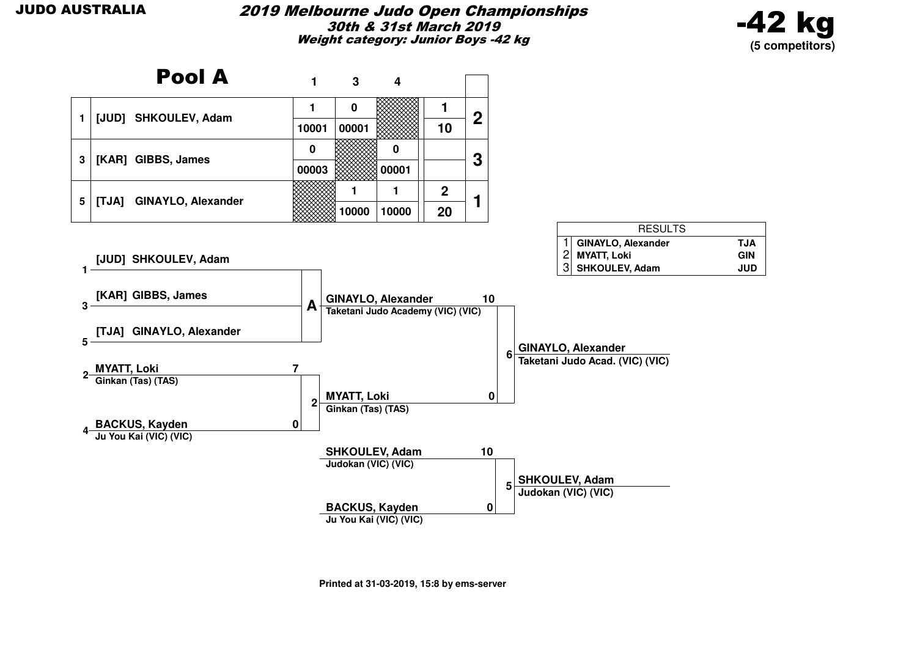#### 2019 Melbourne Judo Open Championships30th & 31st March 2019Weight category: Junior Boys -42 kg



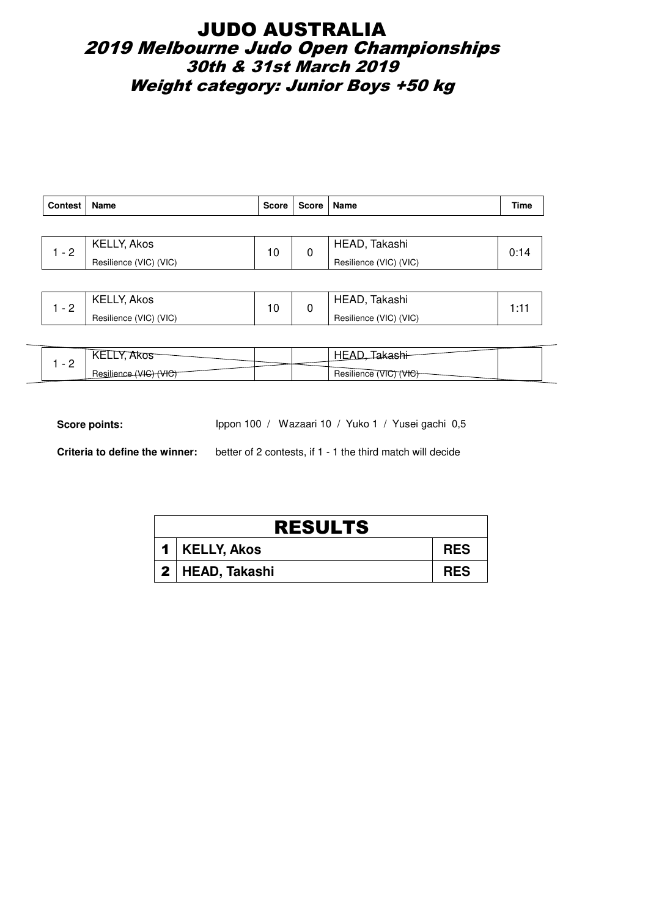## JUDO AUSTRALIA 2019 Melbourne Judo Open Championships 30th & 31st March 2019 Weight category: Junior Boys +50 kg

| <b>Contest</b> | Name                   | <b>Score</b> | Score   Name |                        | Time |
|----------------|------------------------|--------------|--------------|------------------------|------|
|                |                        |              |              |                        |      |
| $-2$           | KELLY, Akos            | 10           |              | HEAD, Takashi          | 0:14 |
|                | Resilience (VIC) (VIC) |              |              | Resilience (VIC) (VIC) |      |
|                |                        |              |              |                        |      |

|   | <b>KELLY, Akos</b>     | 10 | <b>HEAD</b><br>Takashi |  |
|---|------------------------|----|------------------------|--|
| - | Resilience (VIC) (VIC) |    | Resilience (VIC) (VIC) |  |

|                                      | wu<br>◝▭▭▭ |  |                                                   |  |
|--------------------------------------|------------|--|---------------------------------------------------|--|
| $\overline{\phantom{a}}$<br><u>_</u> | vπ.        |  | $\cdots$<br>Resilience<br>VK:<br><b>TVTC</b><br>. |  |

Score points: Ippon 100 / Wazaari 10 / Yuko 1 / Yusei gachi 0,5

| <b>RESULTS</b>    |            |  |  |  |  |
|-------------------|------------|--|--|--|--|
| 1   KELLY, Akos   | <b>RES</b> |  |  |  |  |
| 2   HEAD, Takashi | <b>RES</b> |  |  |  |  |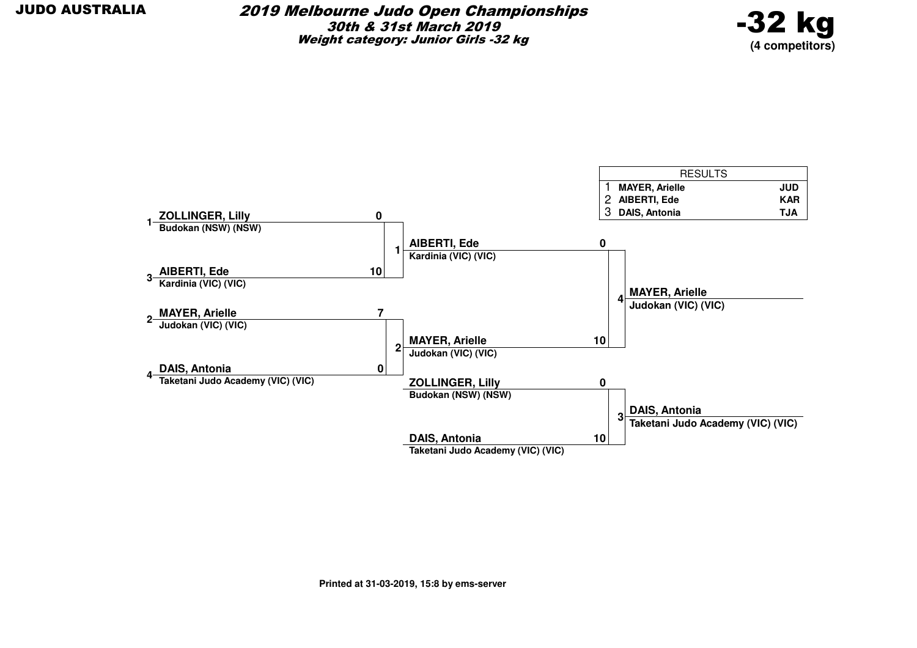

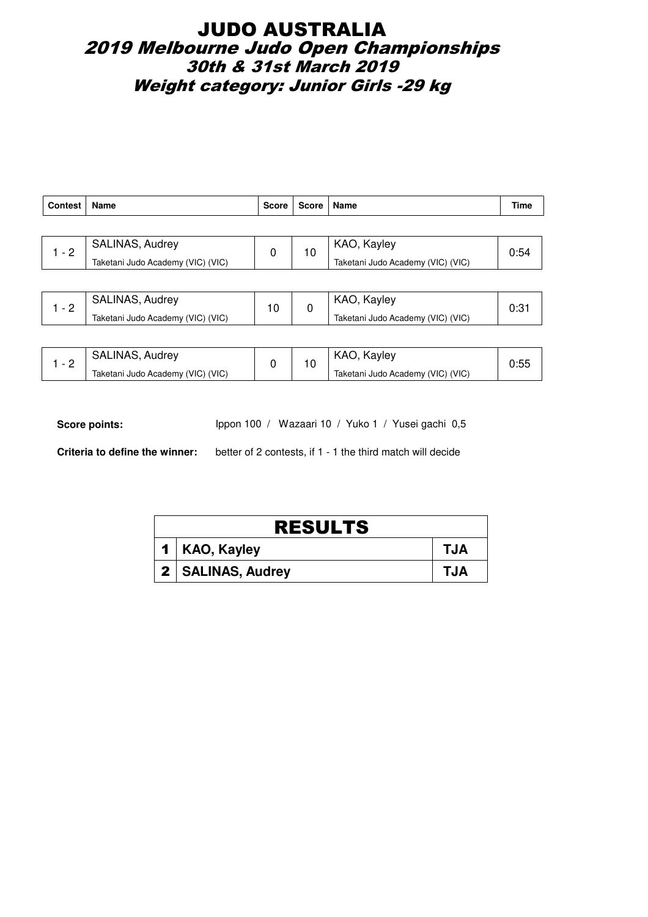## JUDO AUSTRALIA 2019 Melbourne Judo Open Championships 30th & 31st March 2019 Weight category: Junior Girls -29 kg

| <b>Contest</b> | Name                              | <b>Score</b> | <b>Score</b> | <b>Name</b>                       | Time |
|----------------|-----------------------------------|--------------|--------------|-----------------------------------|------|
|                |                                   |              |              |                                   |      |
| $1 - 2$        | SALINAS, Audrey                   | 0            | 10           | KAO, Kayley                       | 0:54 |
|                | Taketani Judo Academy (VIC) (VIC) |              |              | Taketani Judo Academy (VIC) (VIC) |      |
|                |                                   |              |              |                                   |      |
| $1 - 2$        | <b>SALINAS, Audrey</b>            | 10           | 0            | KAO, Kayley                       | 0:31 |
|                | Taketani Judo Academy (VIC) (VIC) |              |              | Taketani Judo Academy (VIC) (VIC) |      |

| $\overline{\phantom{0}}$ | SALINAS, Audrey                   |  | KAO, Kayley                         |  |
|--------------------------|-----------------------------------|--|-------------------------------------|--|
| ∼                        | Taketani Judo Academy (VIC) (VIC) |  | ' Taketani Judo Academy (VIC) (VIC) |  |

Score points: Ippon 100 / Wazaari 10 / Yuko 1 / Yusei gachi 0,5

| <b>RESULTS</b>      |            |  |  |  |  |
|---------------------|------------|--|--|--|--|
| 1   KAO, Kayley     | <b>TJA</b> |  |  |  |  |
| 2   SALINAS, Audrey | <b>TJA</b> |  |  |  |  |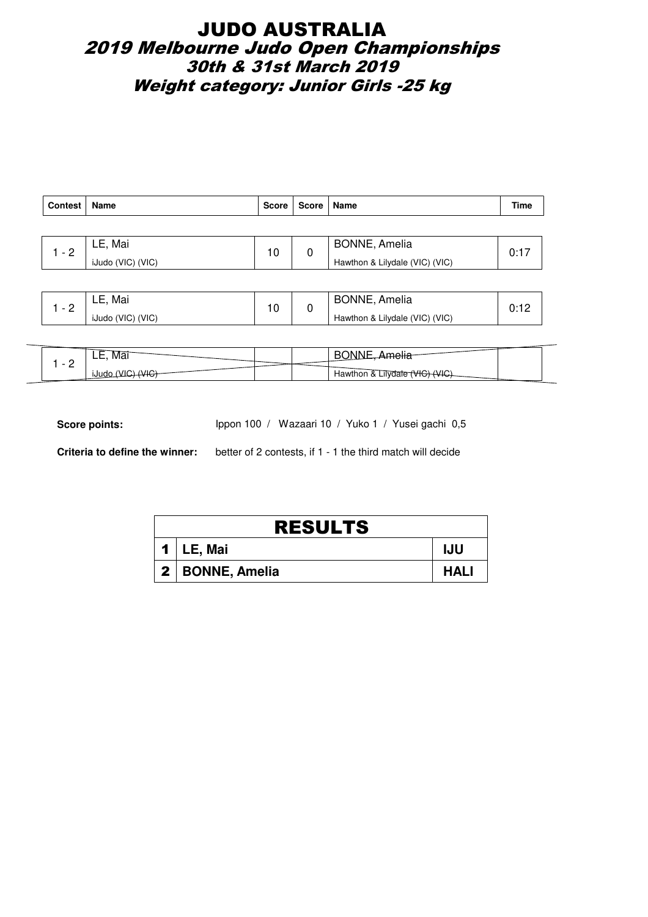## JUDO AUSTRALIA 2019 Melbourne Judo Open Championships 30th & 31st March 2019 Weight category: Junior Girls -25 kg

| Contest | Name              | <b>Score</b> | Score   Name |                                | Time |
|---------|-------------------|--------------|--------------|--------------------------------|------|
|         |                   |              |              |                                |      |
| $1 - 2$ | LE, Mai           | 10           | 0            | <b>BONNE, Amelia</b>           | 0:17 |
|         | iJudo (VIC) (VIC) |              |              | Hawthon & Lilydale (VIC) (VIC) |      |
|         |                   |              |              |                                |      |

| $\overline{\phantom{0}}$ | Mai<br>LE.        |     | <b>BONNE, Amelia</b>           |    |
|--------------------------|-------------------|-----|--------------------------------|----|
| <u>_</u>                 | iJudo (VIC) (VIC) | . U | Hawthon & Lilydale (VIC) (VIC) | υ. |

| IVId.<br>. | ъ.                 |
|------------|--------------------|
| <u>_</u>   | Hawthon<br>ulvdate |

Score points: Ippon 100 / Wazaari 10 / Yuko 1 / Yusei gachi 0,5

| <b>RESULTS</b>    |             |  |  |  |  |
|-------------------|-------------|--|--|--|--|
| $1 \mid$ LE, Mai  | IJU         |  |  |  |  |
| 2   BONNE, Amelia | <b>HALI</b> |  |  |  |  |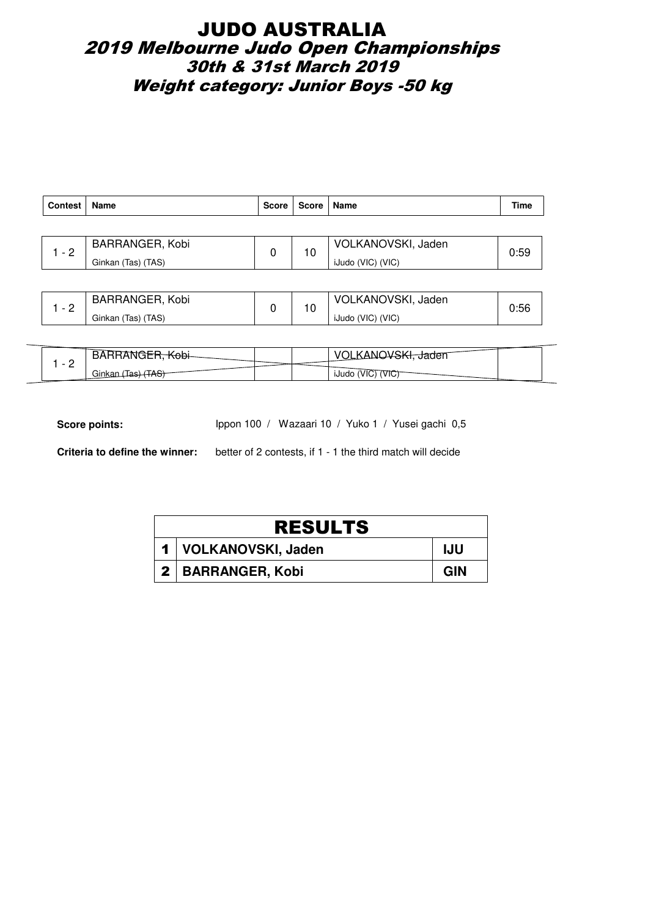## JUDO AUSTRALIA 2019 Melbourne Judo Open Championships 30th & 31st March 2019 Weight category: Junior Boys -50 kg

| Contest | Name               | <b>Score</b> | Score   Name |                    | Time |
|---------|--------------------|--------------|--------------|--------------------|------|
|         |                    |              |              |                    |      |
|         | BARRANGER, Kobi    |              | 10           | VOLKANOVSKI, Jaden |      |
| $-2$    | Ginkan (Tas) (TAS) |              |              | iJudo (VIC) (VIC)  | 0:59 |
|         |                    |              |              |                    |      |

|          | BARRANGER, Kobi    | $\overline{ }$ | VOLKANOVSKI, Jaden |  |
|----------|--------------------|----------------|--------------------|--|
| <u>_</u> | Ginkan (Tas) (TAS) | טי             | iJudo (VIC) (VIC)  |  |

|   | 5AB.                     |  | $\mathcal{U}$<br><del>J</del> aden      |  |
|---|--------------------------|--|-----------------------------------------|--|
| - | $\sim$<br>`^ ^<br>Ginkan |  | 11.11.4<br>'VIC<br><b>IJUDO</b><br>VIU. |  |

Score points: Ippon 100 / Wazaari 10 / Yuko 1 / Yusei gachi 0,5

| <b>RESULTS</b>         |            |  |  |  |  |
|------------------------|------------|--|--|--|--|
| 1   VOLKANOVSKI, Jaden | <b>IJU</b> |  |  |  |  |
| 2   BARRANGER, Kobi    | <b>GIN</b> |  |  |  |  |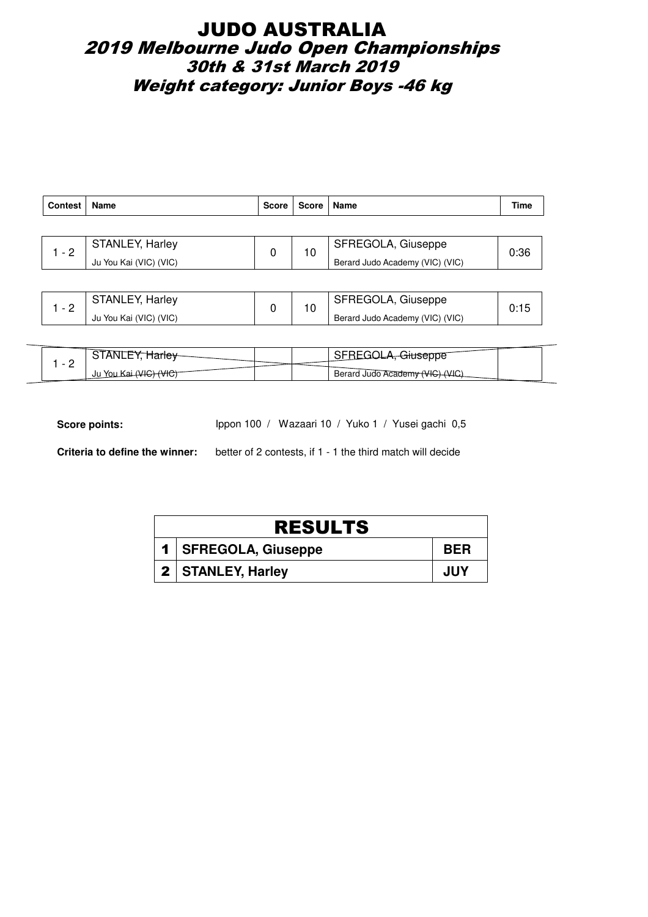## JUDO AUSTRALIA 2019 Melbourne Judo Open Championships 30th & 31st March 2019 Weight category: Junior Boys -46 kg

| <b>Contest</b> | Name                   | <b>Score</b> | Score | Name                            | <b>Time</b> |
|----------------|------------------------|--------------|-------|---------------------------------|-------------|
|                |                        |              |       |                                 |             |
| $\sim$ - 2     | <b>STANLEY, Harley</b> |              | 10    | SFREGOLA, Giuseppe              | 0:36        |
|                | Ju You Kai (VIC) (VIC) |              |       | Berard Judo Academy (VIC) (VIC) |             |
|                |                        |              |       |                                 |             |
|                | CTANIL EV Harlou       |              |       | CEDECALA Civenne                |             |

|   | <b>STANLEY, Harley</b> |  | SFREGOLA, Giuseppe              |  |
|---|------------------------|--|---------------------------------|--|
| - | Ju You Kai (VIC) (VIC) |  | Berard Judo Academy (VIC) (VIC) |  |

| -      |                   |  |                                           |  |
|--------|-------------------|--|-------------------------------------------|--|
| -<br>- | Ju<br>וחץ<br>VIU. |  | Berard Judo Academy (VIC)<br>$\mathbf{v}$ |  |

Score points: Ippon 100 / Wazaari 10 / Yuko 1 / Yusei gachi 0,5

| <b>RESULTS</b>         |            |  |  |  |
|------------------------|------------|--|--|--|
| 1   SFREGOLA, Giuseppe | <b>BFR</b> |  |  |  |
| 2   STANLEY, Harley    | JUY        |  |  |  |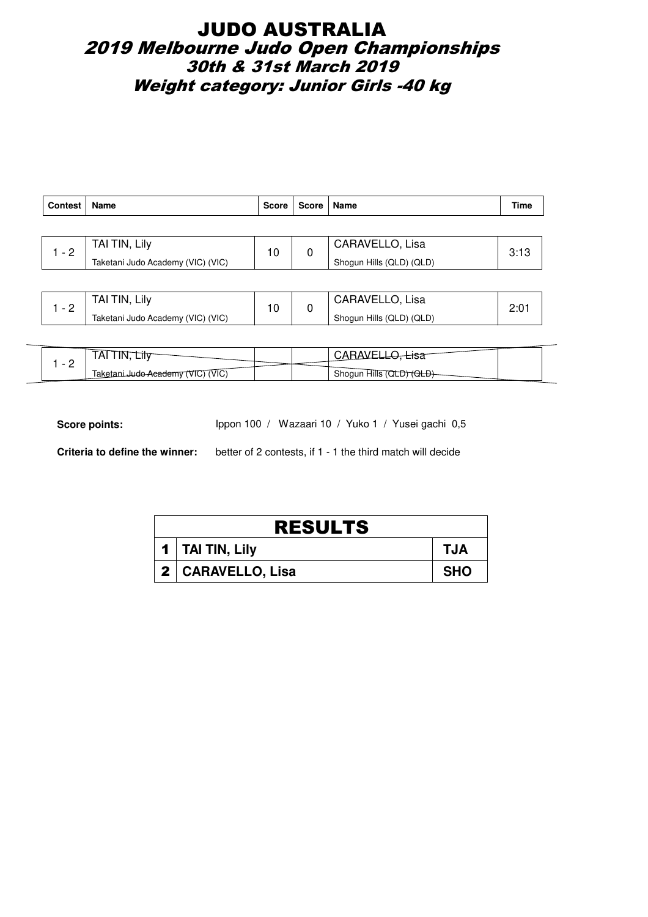## JUDO AUSTRALIA 2019 Melbourne Judo Open Championships 30th & 31st March 2019 Weight category: Junior Girls -40 kg

| <b>Contest</b> | <b>Name</b>                       | <b>Score</b> | Score | Name                     | Time |
|----------------|-----------------------------------|--------------|-------|--------------------------|------|
|                |                                   |              |       |                          |      |
| $1 - 2$        | TAI TIN, Lily                     | 10           | 0     | CARAVELLO, Lisa          | 3:13 |
|                | Taketani Judo Academy (VIC) (VIC) |              |       | Shogun Hills (QLD) (QLD) |      |
|                |                                   |              |       |                          |      |
| $1 - 2$        | TAI TIN, Lily                     | 10           | 0     | CARAVELLO, Lisa          | 2:01 |
|                | Taketani Judo Academy (VIC) (VIC) |              |       | Shogun Hills (QLD) (QLD) |      |

| Taketani Judo Academy (VIC) (VIC) | Shogun Hills (QLD) (QLD)     |  |
|-----------------------------------|------------------------------|--|
|                                   |                              |  |
|                                   |                              |  |
| . IIV -<br>АI<br>---              | CARAVEL <sup>1</sup><br>---- |  |

| ∟llV<br>IAI.                              |  | ∟l∂a                         |  |
|-------------------------------------------|--|------------------------------|--|
| ™ (VIC)<br>Taketani Judo Academy (VIC) (' |  | Shoqun Hills (C<br>₩<br>תוסו |  |

Score points: Ippon 100 / Wazaari 10 / Yuko 1 / Yusei gachi 0,5

| <b>RESULTS</b>      |            |  |  |  |
|---------------------|------------|--|--|--|
| 1   TAI TIN, Lily   | <b>TJA</b> |  |  |  |
| 2   CARAVELLO, Lisa | <b>SHO</b> |  |  |  |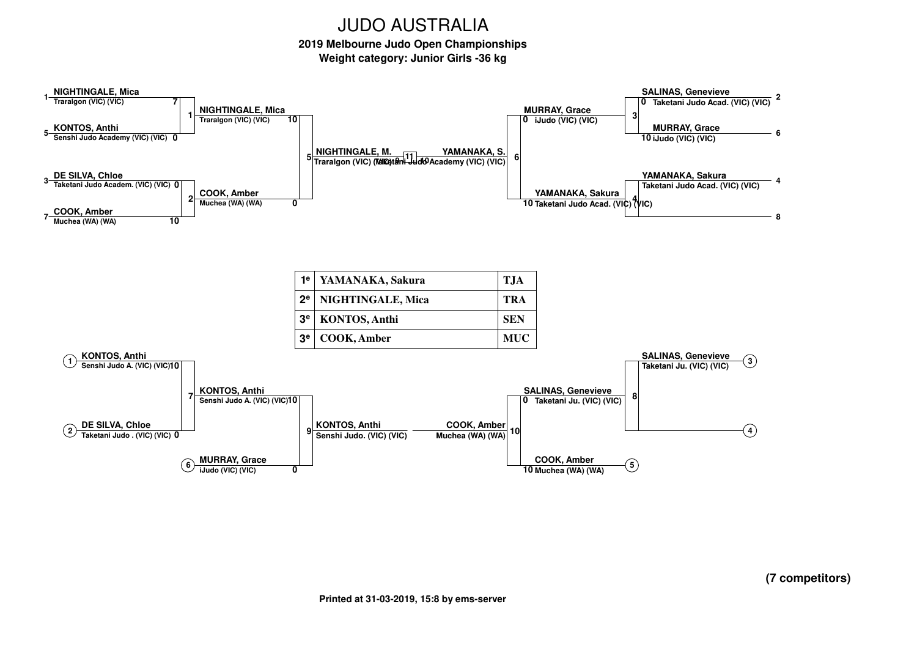**2019 Melbourne Judo Open ChampionshipsWeight category: Junior Girls -36 kg**

**NIGHTINGALE, Mica Traralgon (VIC) (VIC)KONTOS, Anthi Senshi Judo Academy (VIC) (VIC)01715DE SILVA, Chloe Taketani Judo Academ. (VIC) (VIC)0COOK, Amber Muchea (WA) (WA)21037SALINAS, Genevieve Taketani Judo Acad. (VIC) (VIC)0MURRAY, Grace iJudo (VIC) (VIC)10326YAMANAKA, Sakura Taketani Judo Acad. (VIC) (VIC)4 Taketani Judo Acad. (VIC) (VIC)1048NIGHTINGALE, MicaTraralgon (VIC) (VIC)COOK, Amber Muchea (WA) (WA)5 Traralgon (VIC) (VIC) Taketani Judo Academy (VIC) (VIC) <sup>11</sup> <sup>0</sup> <sup>10</sup> 100MURRAY, Grace iJudo (VIC) (VIC)0YAMANAKA, Sakura6KONTOS, Anthi Senshi Judo A. (VIC) (VIC)10DE SILVA, Chloe Taketani Judo . (VIC) (VIC)0712SALINAS, Genevieve Taketani Ju. (VIC) (VIC)834KONTOS, Anthi Senshi Judo A. (VIC) (VIC)10MURRAY, GraceiJudo (VIC) (VIC)90KONTOS, Anthi Senshi Judo. (VIC) (VIC)6SALINAS, Genevieve Taketani Ju. (VIC) (VIC)0COOK, Amber Muchea (WA) (WA)1010COOK, Amber Muchea (WA) (WA)5NIGHTINGALE, M.YAMANAKA, S.1e2e 3e 3eYAMANAKA, Sakura TJANIGHTINGALE, Mica TRAKONTOS, Anthi SENCOOK, Amber MUC**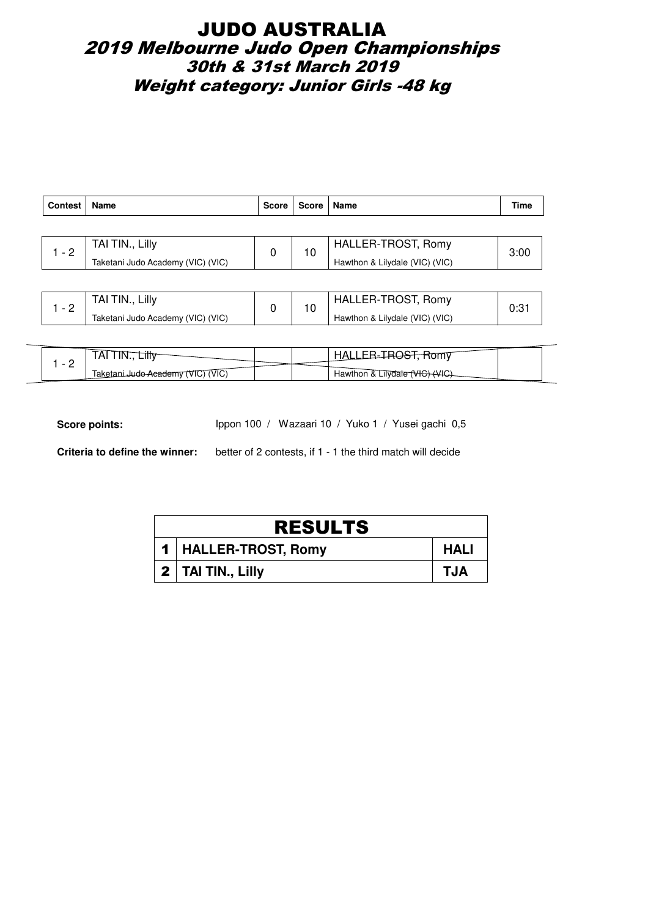## JUDO AUSTRALIA 2019 Melbourne Judo Open Championships 30th & 31st March 2019 Weight category: Junior Girls -48 kg

| <b>Contest</b> | Name                              | <b>Score</b> | Score  | ∣ Name                         | Time |
|----------------|-----------------------------------|--------------|--------|--------------------------------|------|
|                |                                   |              |        |                                |      |
| $1 - 2$        | TAI TIN., Lilly                   | 0            | 10     | HALLER-TROST, Romy             | 3:00 |
|                | Taketani Judo Academy (VIC) (VIC) |              |        | Hawthon & Lilydale (VIC) (VIC) |      |
|                |                                   |              |        |                                |      |
|                | TAI TIN., Lilly                   |              | $\sim$ | HALLER-TROST, Romy             |      |

| - | _illv<br>I AI                     |  | LER-TROST, Romy<br>HALL.       |  |
|---|-----------------------------------|--|--------------------------------|--|
|   | Taketani Judo Academy (VIC) (VIC) |  | Hawthon & Lilydale (VIC) (VIC) |  |

| IAI                                  |                              |
|--------------------------------------|------------------------------|
| (VIC)<br>laketani Judo Academy (VIC) | Hawthon & Lilydale (VIC) (V) |

Score points: Ippon 100 / Wazaari 10 / Yuko 1 / Yusei gachi 0,5

| <b>RESULTS</b>         |      |  |  |  |  |
|------------------------|------|--|--|--|--|
| 1   HALLER-TROST, Romy | HALI |  |  |  |  |
| $2$   TAI TIN., Lilly  | TJA  |  |  |  |  |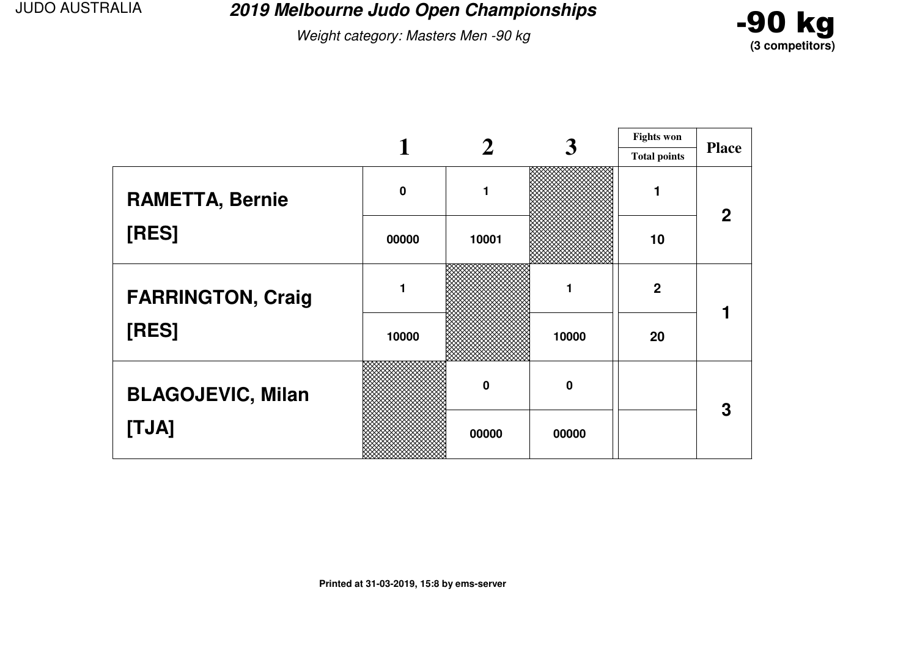**2019 Melbourne Judo Open Championships**

Weight category: Masters Men -90 kg



|                          |             |             | 3        | <b>Fights won</b>   | <b>Place</b> |
|--------------------------|-------------|-------------|----------|---------------------|--------------|
|                          |             |             |          | <b>Total points</b> |              |
| <b>RAMETTA, Bernie</b>   | $\mathbf 0$ | 1           |          |                     | $\mathbf 2$  |
| [RES]                    | 00000       | 10001       |          | 10                  |              |
| <b>FARRINGTON, Craig</b> |             |             |          | $\boldsymbol{2}$    |              |
| [RES]                    | 10000       |             | 10000    | 20                  |              |
| <b>BLAGOJEVIC, Milan</b> |             | $\mathbf 0$ | $\bf{0}$ |                     | 3            |
| [TJA]                    |             | 00000       | 00000    |                     |              |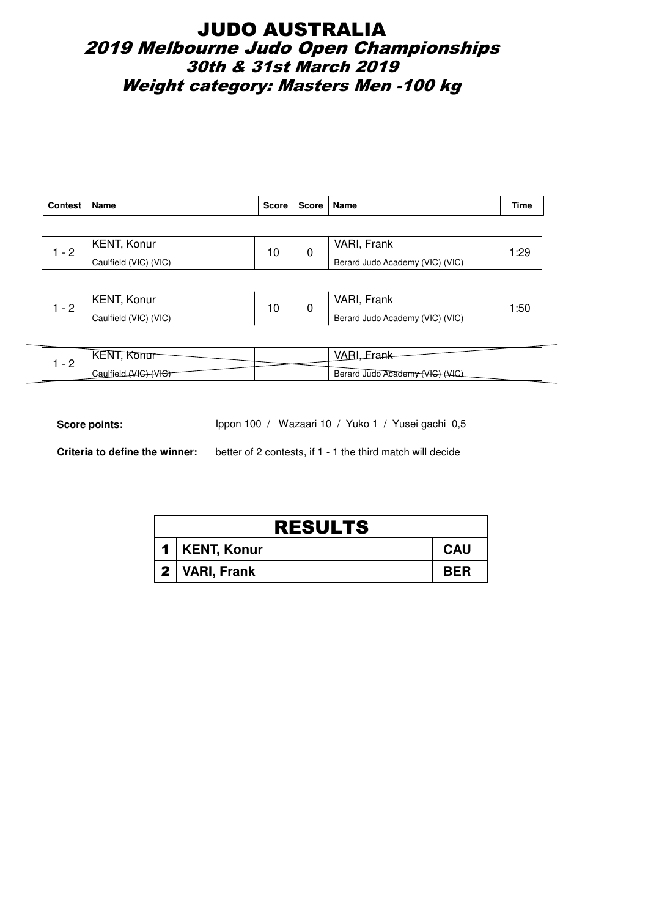## JUDO AUSTRALIA 2019 Melbourne Judo Open Championships 30th & 31st March 2019 Weight category: Masters Men -100 kg

| Contest | Name                  | Score | Score   Name |                                 | Time |  |
|---------|-----------------------|-------|--------------|---------------------------------|------|--|
|         |                       |       |              |                                 |      |  |
| $-2$    | KENT, Konur           | 10    | 0            | VARI, Frank                     | 1:29 |  |
|         | Caulfield (VIC) (VIC) |       |              | Berard Judo Academy (VIC) (VIC) |      |  |
|         |                       |       |              |                                 |      |  |

|   | <b>KENT, Konur</b><br>$\sim$ | VARI, Frank | :50                             |  |
|---|------------------------------|-------------|---------------------------------|--|
| - | Caulfield (VIC) (VIC)        |             | Berard Judo Academy (VIC) (VIC) |  |

| $\overline{\phantom{0}}$<br>$\overline{\phantom{a}}$ |                                               |
|------------------------------------------------------|-----------------------------------------------|
| <u>_</u><br>$\ddot{\phantom{0}}$                     | Berard Judo Academy<br>— 11 ·<br>$\mathbf{v}$ |

Score points: Ippon 100 / Wazaari 10 / Yuko 1 / Yusei gachi 0,5

| <b>RESULTS</b> |                 |            |  |  |
|----------------|-----------------|------------|--|--|
|                | 1   KENT, Konur | <b>CAU</b> |  |  |
|                | 2   VARI, Frank | <b>BER</b> |  |  |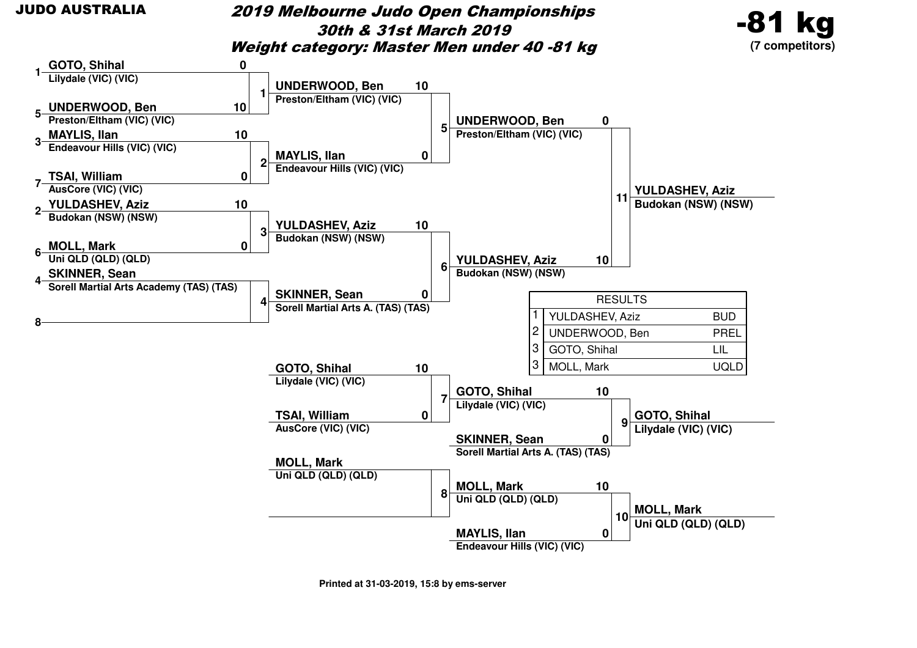#### 2019 Melbourne Judo Open Championships30th & 31st March 2019Weight category: Master Men under 40 -81 kg